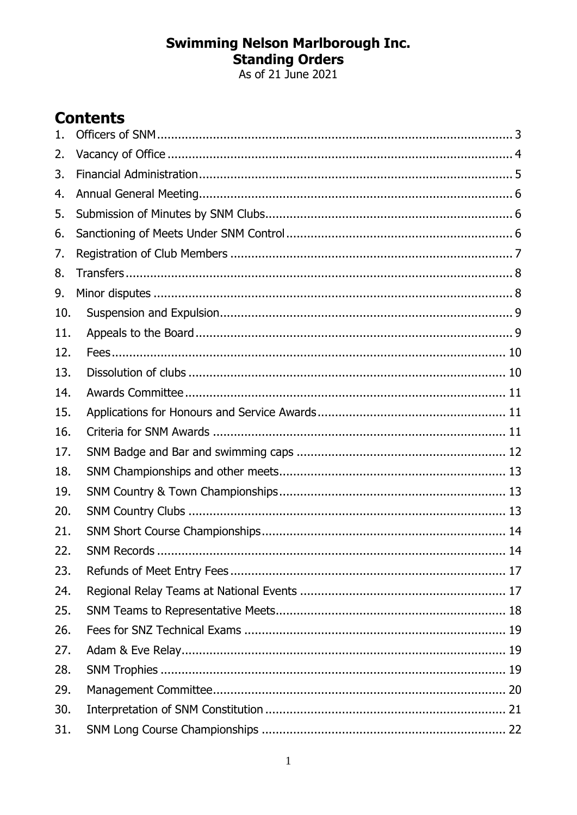# **Swimming Nelson Marlborough Inc.<br>Standing Orders<br>As of 21 June 2021**

# **Contents**

| $\mathbf{1}$ . |  |
|----------------|--|
| 2.             |  |
| 3.             |  |
| 4.             |  |
| 5.             |  |
| 6.             |  |
| 7.             |  |
| 8.             |  |
| 9.             |  |
| 10.            |  |
| 11.            |  |
| 12.            |  |
| 13.            |  |
| 14.            |  |
| 15.            |  |
| 16.            |  |
| 17.            |  |
| 18.            |  |
| 19.            |  |
| 20.            |  |
| 21.            |  |
| 22.            |  |
| 23.            |  |
| 24.            |  |
| 25.            |  |
| 26.            |  |
| 27.            |  |
| 28.            |  |
| 29.            |  |
| 30.            |  |
| 31.            |  |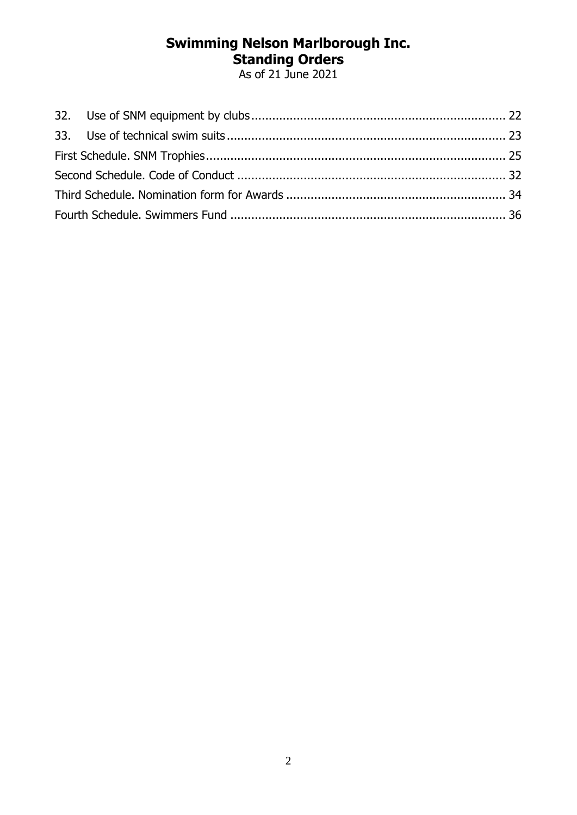As of 21 June 2021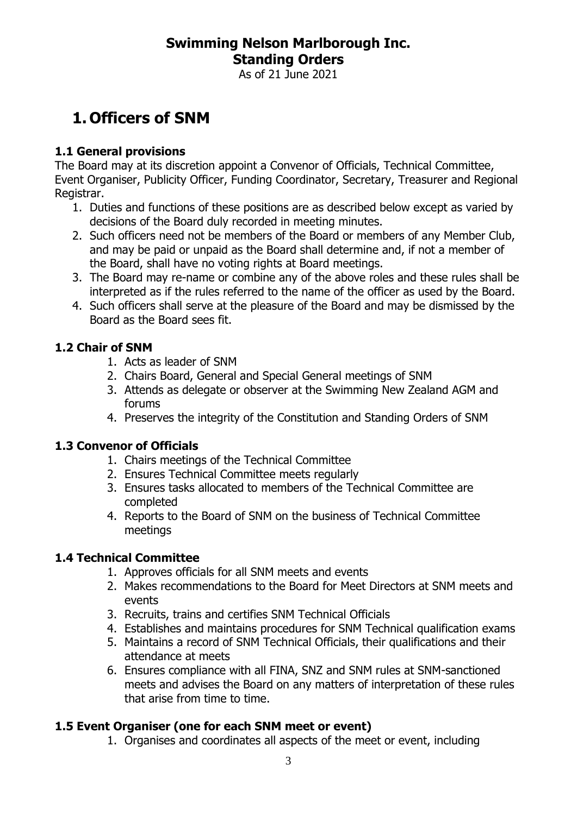As of 21 June 2021

# <span id="page-2-0"></span>**1. Officers of SNM**

#### **1.1 General provisions**

The Board may at its discretion appoint a Convenor of Officials, Technical Committee, Event Organiser, Publicity Officer, Funding Coordinator, Secretary, Treasurer and Regional Registrar.

- 1. Duties and functions of these positions are as described below except as varied by decisions of the Board duly recorded in meeting minutes.
- 2. Such officers need not be members of the Board or members of any Member Club, and may be paid or unpaid as the Board shall determine and, if not a member of the Board, shall have no voting rights at Board meetings.
- 3. The Board may re-name or combine any of the above roles and these rules shall be interpreted as if the rules referred to the name of the officer as used by the Board.
- 4. Such officers shall serve at the pleasure of the Board and may be dismissed by the Board as the Board sees fit.

#### **1.2 Chair of SNM**

- 1. Acts as leader of SNM
- 2. Chairs Board, General and Special General meetings of SNM
- 3. Attends as delegate or observer at the Swimming New Zealand AGM and forums
- 4. Preserves the integrity of the Constitution and Standing Orders of SNM

#### **1.3 Convenor of Officials**

- 1. Chairs meetings of the Technical Committee
- 2. Ensures Technical Committee meets regularly
- 3. Ensures tasks allocated to members of the Technical Committee are completed
- 4. Reports to the Board of SNM on the business of Technical Committee meetings

#### **1.4 Technical Committee**

- 1. Approves officials for all SNM meets and events
- 2. Makes recommendations to the Board for Meet Directors at SNM meets and events
- 3. Recruits, trains and certifies SNM Technical Officials
- 4. Establishes and maintains procedures for SNM Technical qualification exams
- 5. Maintains a record of SNM Technical Officials, their qualifications and their attendance at meets
- 6. Ensures compliance with all FINA, SNZ and SNM rules at SNM-sanctioned meets and advises the Board on any matters of interpretation of these rules that arise from time to time.

#### **1.5 Event Organiser (one for each SNM meet or event)**

1. Organises and coordinates all aspects of the meet or event, including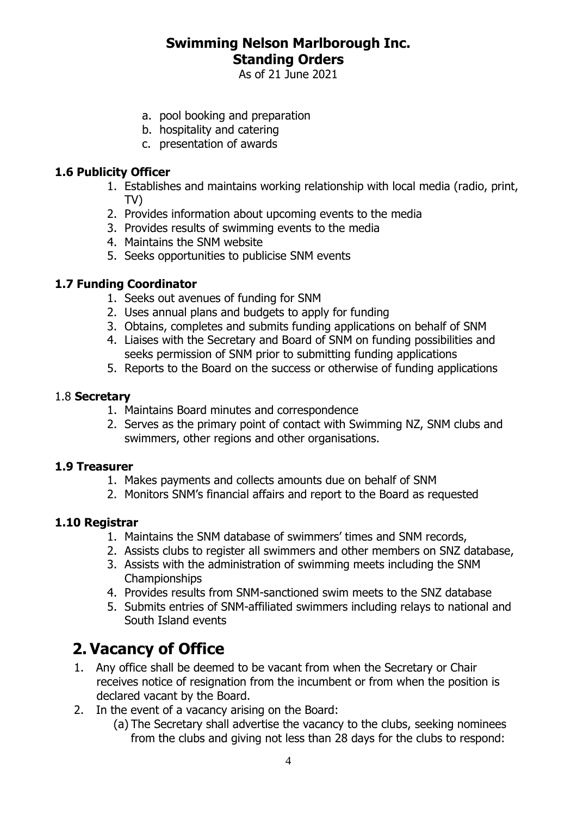As of 21 June 2021

- a. pool booking and preparation
- b. hospitality and catering
- c. presentation of awards

#### **1.6 Publicity Officer**

- 1. Establishes and maintains working relationship with local media (radio, print, TV)
- 2. Provides information about upcoming events to the media
- 3. Provides results of swimming events to the media
- 4. Maintains the SNM website
- 5. Seeks opportunities to publicise SNM events

#### **1.7 Funding Coordinator**

- 1. Seeks out avenues of funding for SNM
- 2. Uses annual plans and budgets to apply for funding
- 3. Obtains, completes and submits funding applications on behalf of SNM
- 4. Liaises with the Secretary and Board of SNM on funding possibilities and seeks permission of SNM prior to submitting funding applications
- 5. Reports to the Board on the success or otherwise of funding applications

#### 1.8 **Secretary**

- 1. Maintains Board minutes and correspondence
- 2. Serves as the primary point of contact with Swimming NZ, SNM clubs and swimmers, other regions and other organisations.

#### **1.9 Treasurer**

- 1. Makes payments and collects amounts due on behalf of SNM
- 2. Monitors SNM's financial affairs and report to the Board as requested

#### **1.10 Registrar**

- 1. Maintains the SNM database of swimmers' times and SNM records,
- 2. Assists clubs to register all swimmers and other members on SNZ database,
- 3. Assists with the administration of swimming meets including the SNM Championships
- 4. Provides results from SNM-sanctioned swim meets to the SNZ database
- 5. Submits entries of SNM-affiliated swimmers including relays to national and South Island events

## <span id="page-3-0"></span>**2. Vacancy of Office**

- 1. Any office shall be deemed to be vacant from when the Secretary or Chair receives notice of resignation from the incumbent or from when the position is declared vacant by the Board.
- 2. In the event of a vacancy arising on the Board:
	- (a) The Secretary shall advertise the vacancy to the clubs, seeking nominees from the clubs and giving not less than 28 days for the clubs to respond: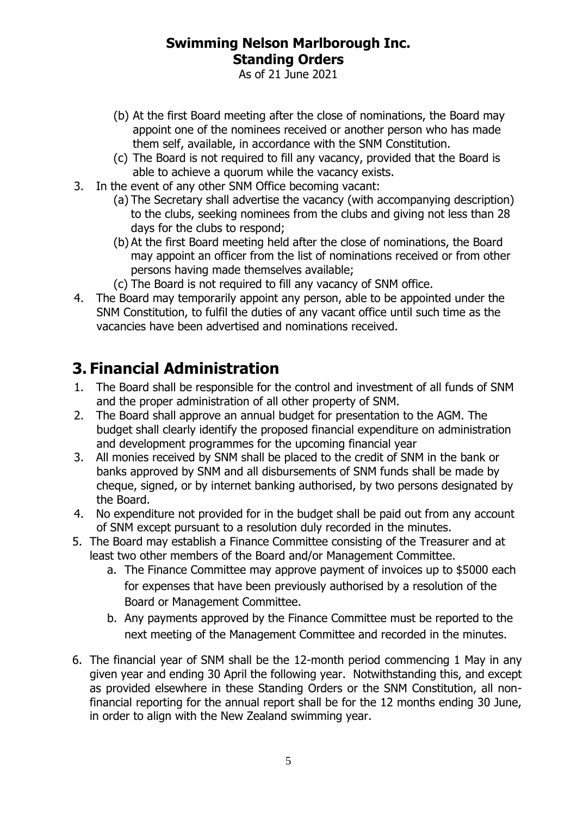As of 21 June 2021

- (b) At the first Board meeting after the close of nominations, the Board may appoint one of the nominees received or another person who has made them self, available, in accordance with the SNM Constitution.
- (c) The Board is not required to fill any vacancy, provided that the Board is able to achieve a quorum while the vacancy exists.
- 3. In the event of any other SNM Office becoming vacant:
	- (a) The Secretary shall advertise the vacancy (with accompanying description) to the clubs, seeking nominees from the clubs and giving not less than 28 days for the clubs to respond;
	- (b) At the first Board meeting held after the close of nominations, the Board may appoint an officer from the list of nominations received or from other persons having made themselves available;
	- (c) The Board is not required to fill any vacancy of SNM office.
- 4. The Board may temporarily appoint any person, able to be appointed under the SNM Constitution, to fulfil the duties of any vacant office until such time as the vacancies have been advertised and nominations received.

# <span id="page-4-0"></span>**3. Financial Administration**

- 1. The Board shall be responsible for the control and investment of all funds of SNM and the proper administration of all other property of SNM.
- 2. The Board shall approve an annual budget for presentation to the AGM. The budget shall clearly identify the proposed financial expenditure on administration and development programmes for the upcoming financial year
- 3. All monies received by SNM shall be placed to the credit of SNM in the bank or banks approved by SNM and all disbursements of SNM funds shall be made by cheque, signed, or by internet banking authorised, by two persons designated by the Board.
- 4. No expenditure not provided for in the budget shall be paid out from any account of SNM except pursuant to a resolution duly recorded in the minutes.
- 5. The Board may establish a Finance Committee consisting of the Treasurer and at least two other members of the Board and/or Management Committee.
	- a. The Finance Committee may approve payment of invoices up to \$5000 each for expenses that have been previously authorised by a resolution of the Board or Management Committee.
	- b. Any payments approved by the Finance Committee must be reported to the next meeting of the Management Committee and recorded in the minutes.
- 6. The financial year of SNM shall be the 12-month period commencing 1 May in any given year and ending 30 April the following year. Notwithstanding this, and except as provided elsewhere in these Standing Orders or the SNM Constitution, all nonfinancial reporting for the annual report shall be for the 12 months ending 30 June, in order to align with the New Zealand swimming year.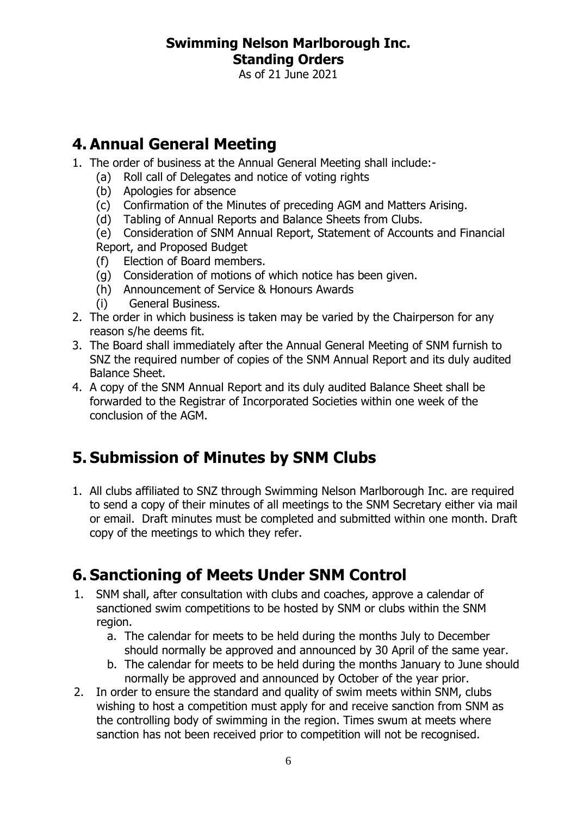As of 21 June 2021

# <span id="page-5-0"></span>**4. Annual General Meeting**

- 1. The order of business at the Annual General Meeting shall include:-
	- (a) Roll call of Delegates and notice of voting rights
	- (b) Apologies for absence
	- (c) Confirmation of the Minutes of preceding AGM and Matters Arising.
	- (d) Tabling of Annual Reports and Balance Sheets from Clubs.

(e) Consideration of SNM Annual Report, Statement of Accounts and Financial Report, and Proposed Budget

- (f) Election of Board members.
- (g) Consideration of motions of which notice has been given.
- (h) Announcement of Service & Honours Awards
- (i) General Business.
- 2. The order in which business is taken may be varied by the Chairperson for any reason s/he deems fit.
- 3. The Board shall immediately after the Annual General Meeting of SNM furnish to SNZ the required number of copies of the SNM Annual Report and its duly audited Balance Sheet.
- 4. A copy of the SNM Annual Report and its duly audited Balance Sheet shall be forwarded to the Registrar of Incorporated Societies within one week of the conclusion of the AGM.

# <span id="page-5-1"></span>**5. Submission of Minutes by SNM Clubs**

1. All clubs affiliated to SNZ through Swimming Nelson Marlborough Inc. are required to send a copy of their minutes of all meetings to the SNM Secretary either via mail or email. Draft minutes must be completed and submitted within one month. Draft copy of the meetings to which they refer.

# <span id="page-5-2"></span>**6. Sanctioning of Meets Under SNM Control**

- 1. SNM shall, after consultation with clubs and coaches, approve a calendar of sanctioned swim competitions to be hosted by SNM or clubs within the SNM region.
	- a. The calendar for meets to be held during the months July to December should normally be approved and announced by 30 April of the same year.
	- b. The calendar for meets to be held during the months January to June should normally be approved and announced by October of the year prior.
- 2. In order to ensure the standard and quality of swim meets within SNM, clubs wishing to host a competition must apply for and receive sanction from SNM as the controlling body of swimming in the region. Times swum at meets where sanction has not been received prior to competition will not be recognised.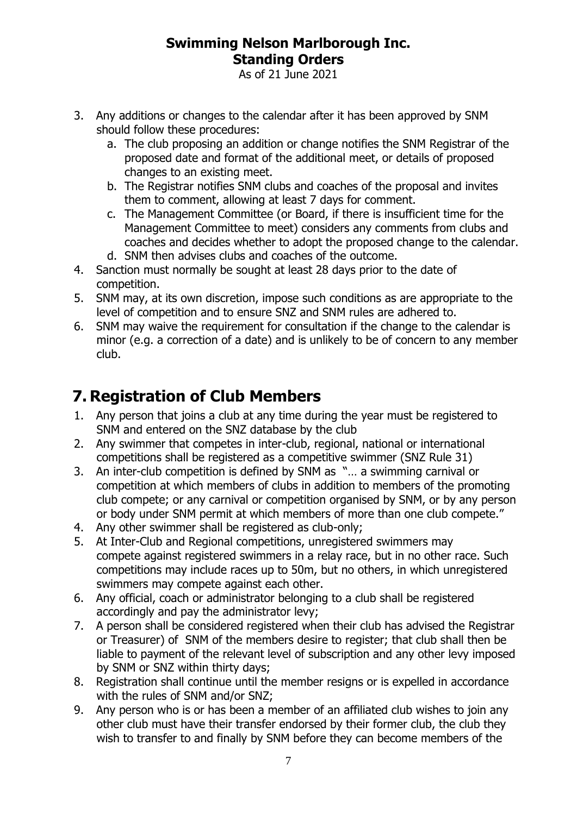As of 21 June 2021

- 3. Any additions or changes to the calendar after it has been approved by SNM should follow these procedures:
	- a. The club proposing an addition or change notifies the SNM Registrar of the proposed date and format of the additional meet, or details of proposed changes to an existing meet.
	- b. The Registrar notifies SNM clubs and coaches of the proposal and invites them to comment, allowing at least 7 days for comment.
	- c. The Management Committee (or Board, if there is insufficient time for the Management Committee to meet) considers any comments from clubs and coaches and decides whether to adopt the proposed change to the calendar. d. SNM then advises clubs and coaches of the outcome.
- 4. Sanction must normally be sought at least 28 days prior to the date of competition.
- 5. SNM may, at its own discretion, impose such conditions as are appropriate to the level of competition and to ensure SNZ and SNM rules are adhered to.
- 6. SNM may waive the requirement for consultation if the change to the calendar is minor (e.g. a correction of a date) and is unlikely to be of concern to any member club.

# <span id="page-6-0"></span>**7. Registration of Club Members**

- 1. Any person that joins a club at any time during the year must be registered to SNM and entered on the SNZ database by the club
- 2. Any swimmer that competes in inter-club, regional, national or international competitions shall be registered as a competitive swimmer (SNZ Rule 31)
- 3. An inter-club competition is defined by SNM as "… a swimming carnival or competition at which members of clubs in addition to members of the promoting club compete; or any carnival or competition organised by SNM, or by any person or body under SNM permit at which members of more than one club compete."
- 4. Any other swimmer shall be registered as club-only;
- 5. At Inter-Club and Regional competitions, unregistered swimmers may compete against registered swimmers in a relay race, but in no other race. Such competitions may include races up to 50m, but no others, in which unregistered swimmers may compete against each other.
- 6. Any official, coach or administrator belonging to a club shall be registered accordingly and pay the administrator levy;
- 7. A person shall be considered registered when their club has advised the Registrar or Treasurer) of SNM of the members desire to register; that club shall then be liable to payment of the relevant level of subscription and any other levy imposed by SNM or SNZ within thirty days;
- 8. Registration shall continue until the member resigns or is expelled in accordance with the rules of SNM and/or SNZ;
- 9. Any person who is or has been a member of an affiliated club wishes to join any other club must have their transfer endorsed by their former club, the club they wish to transfer to and finally by SNM before they can become members of the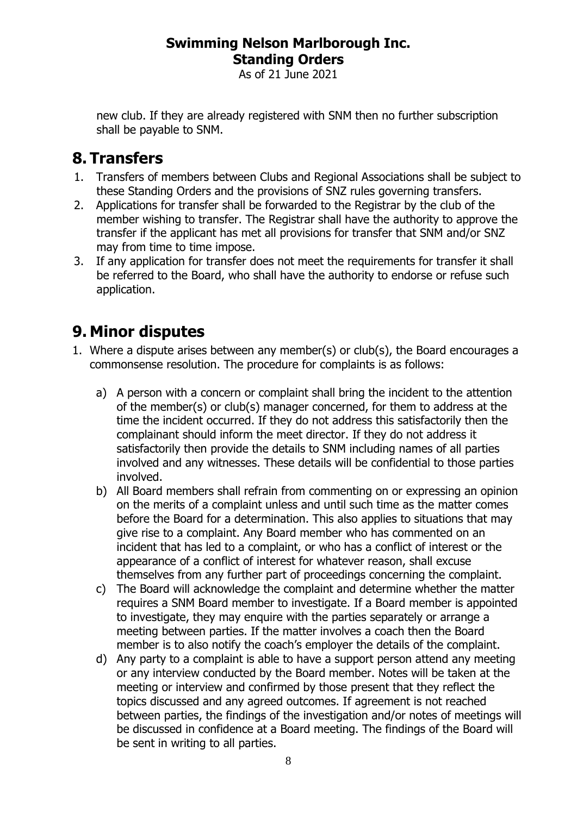As of 21 June 2021

new club. If they are already registered with SNM then no further subscription shall be payable to SNM.

# <span id="page-7-0"></span>**8. Transfers**

- 1. Transfers of members between Clubs and Regional Associations shall be subject to these Standing Orders and the provisions of SNZ rules governing transfers.
- 2. Applications for transfer shall be forwarded to the Registrar by the club of the member wishing to transfer. The Registrar shall have the authority to approve the transfer if the applicant has met all provisions for transfer that SNM and/or SNZ may from time to time impose.
- 3. If any application for transfer does not meet the requirements for transfer it shall be referred to the Board, who shall have the authority to endorse or refuse such application.

# <span id="page-7-1"></span>**9. Minor disputes**

- 1. Where a dispute arises between any member(s) or club(s), the Board encourages a commonsense resolution. The procedure for complaints is as follows:
	- a) A person with a concern or complaint shall bring the incident to the attention of the member(s) or club(s) manager concerned, for them to address at the time the incident occurred. If they do not address this satisfactorily then the complainant should inform the meet director. If they do not address it satisfactorily then provide the details to SNM including names of all parties involved and any witnesses. These details will be confidential to those parties involved.
	- b) All Board members shall refrain from commenting on or expressing an opinion on the merits of a complaint unless and until such time as the matter comes before the Board for a determination. This also applies to situations that may give rise to a complaint. Any Board member who has commented on an incident that has led to a complaint, or who has a conflict of interest or the appearance of a conflict of interest for whatever reason, shall excuse themselves from any further part of proceedings concerning the complaint.
	- c) The Board will acknowledge the complaint and determine whether the matter requires a SNM Board member to investigate. If a Board member is appointed to investigate, they may enquire with the parties separately or arrange a meeting between parties. If the matter involves a coach then the Board member is to also notify the coach's employer the details of the complaint.
	- d) Any party to a complaint is able to have a support person attend any meeting or any interview conducted by the Board member. Notes will be taken at the meeting or interview and confirmed by those present that they reflect the topics discussed and any agreed outcomes. If agreement is not reached between parties, the findings of the investigation and/or notes of meetings will be discussed in confidence at a Board meeting. The findings of the Board will be sent in writing to all parties.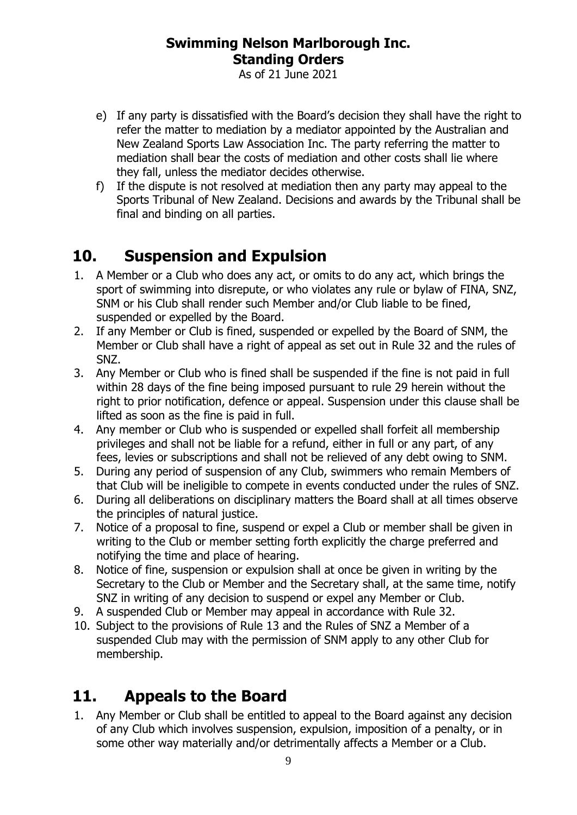As of 21 June 2021

- e) If any party is dissatisfied with the Board's decision they shall have the right to refer the matter to mediation by a mediator appointed by the Australian and New Zealand Sports Law Association Inc. The party referring the matter to mediation shall bear the costs of mediation and other costs shall lie where they fall, unless the mediator decides otherwise.
- f) If the dispute is not resolved at mediation then any party may appeal to the Sports Tribunal of New Zealand. Decisions and awards by the Tribunal shall be final and binding on all parties.

# <span id="page-8-0"></span>**10. Suspension and Expulsion**

- 1. A Member or a Club who does any act, or omits to do any act, which brings the sport of swimming into disrepute, or who violates any rule or bylaw of FINA, SNZ, SNM or his Club shall render such Member and/or Club liable to be fined, suspended or expelled by the Board.
- 2. If any Member or Club is fined, suspended or expelled by the Board of SNM, the Member or Club shall have a right of appeal as set out in Rule 32 and the rules of SNZ.
- 3. Any Member or Club who is fined shall be suspended if the fine is not paid in full within 28 days of the fine being imposed pursuant to rule 29 herein without the right to prior notification, defence or appeal. Suspension under this clause shall be lifted as soon as the fine is paid in full.
- 4. Any member or Club who is suspended or expelled shall forfeit all membership privileges and shall not be liable for a refund, either in full or any part, of any fees, levies or subscriptions and shall not be relieved of any debt owing to SNM.
- 5. During any period of suspension of any Club, swimmers who remain Members of that Club will be ineligible to compete in events conducted under the rules of SNZ.
- 6. During all deliberations on disciplinary matters the Board shall at all times observe the principles of natural justice.
- 7. Notice of a proposal to fine, suspend or expel a Club or member shall be given in writing to the Club or member setting forth explicitly the charge preferred and notifying the time and place of hearing.
- 8. Notice of fine, suspension or expulsion shall at once be given in writing by the Secretary to the Club or Member and the Secretary shall, at the same time, notify SNZ in writing of any decision to suspend or expel any Member or Club.
- 9. A suspended Club or Member may appeal in accordance with Rule 32.
- 10. Subject to the provisions of Rule 13 and the Rules of SNZ a Member of a suspended Club may with the permission of SNM apply to any other Club for membership.

# <span id="page-8-1"></span>**11. Appeals to the Board**

1. Any Member or Club shall be entitled to appeal to the Board against any decision of any Club which involves suspension, expulsion, imposition of a penalty, or in some other way materially and/or detrimentally affects a Member or a Club.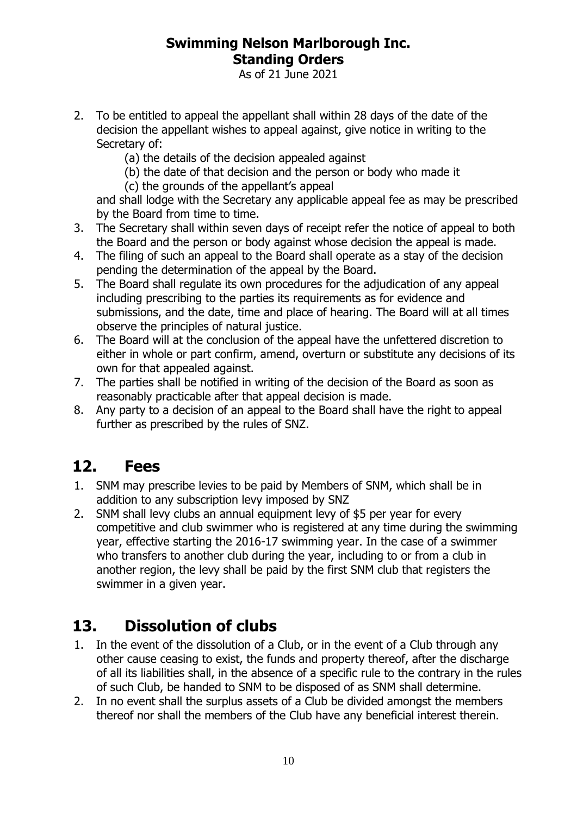As of 21 June 2021

- 2. To be entitled to appeal the appellant shall within 28 days of the date of the decision the appellant wishes to appeal against, give notice in writing to the Secretary of:
	- (a) the details of the decision appealed against
	- (b) the date of that decision and the person or body who made it
	- (c) the grounds of the appellant's appeal

and shall lodge with the Secretary any applicable appeal fee as may be prescribed by the Board from time to time.

- 3. The Secretary shall within seven days of receipt refer the notice of appeal to both the Board and the person or body against whose decision the appeal is made.
- 4. The filing of such an appeal to the Board shall operate as a stay of the decision pending the determination of the appeal by the Board.
- 5. The Board shall regulate its own procedures for the adjudication of any appeal including prescribing to the parties its requirements as for evidence and submissions, and the date, time and place of hearing. The Board will at all times observe the principles of natural justice.
- 6. The Board will at the conclusion of the appeal have the unfettered discretion to either in whole or part confirm, amend, overturn or substitute any decisions of its own for that appealed against.
- 7. The parties shall be notified in writing of the decision of the Board as soon as reasonably practicable after that appeal decision is made.
- 8. Any party to a decision of an appeal to the Board shall have the right to appeal further as prescribed by the rules of SNZ.

# <span id="page-9-0"></span>**12. Fees**

- 1. SNM may prescribe levies to be paid by Members of SNM, which shall be in addition to any subscription levy imposed by SNZ
- 2. SNM shall levy clubs an annual equipment levy of \$5 per year for every competitive and club swimmer who is registered at any time during the swimming year, effective starting the 2016-17 swimming year. In the case of a swimmer who transfers to another club during the year, including to or from a club in another region, the levy shall be paid by the first SNM club that registers the swimmer in a given year.

# <span id="page-9-1"></span>**13. Dissolution of clubs**

- 1. In the event of the dissolution of a Club, or in the event of a Club through any other cause ceasing to exist, the funds and property thereof, after the discharge of all its liabilities shall, in the absence of a specific rule to the contrary in the rules of such Club, be handed to SNM to be disposed of as SNM shall determine.
- 2. In no event shall the surplus assets of a Club be divided amongst the members thereof nor shall the members of the Club have any beneficial interest therein.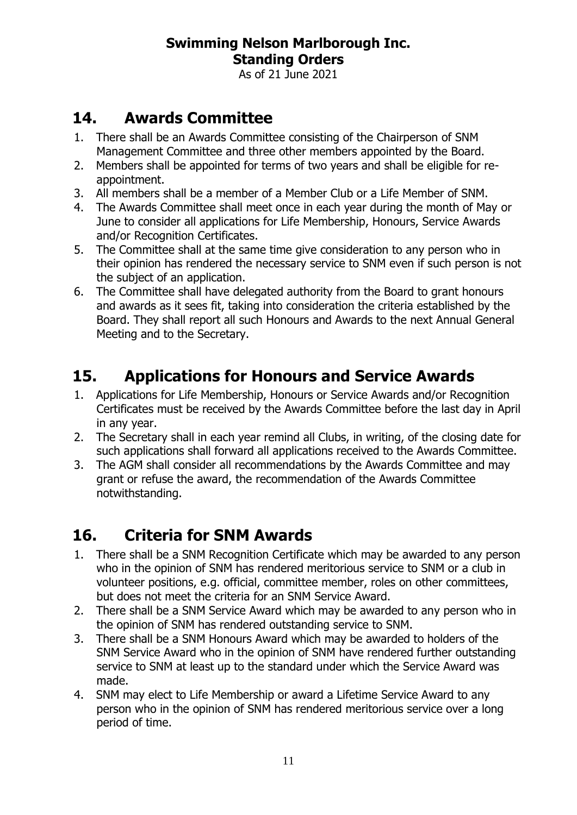As of 21 June 2021

# <span id="page-10-0"></span>**14. Awards Committee**

- 1. There shall be an Awards Committee consisting of the Chairperson of SNM Management Committee and three other members appointed by the Board.
- 2. Members shall be appointed for terms of two years and shall be eligible for reappointment.
- 3. All members shall be a member of a Member Club or a Life Member of SNM.
- 4. The Awards Committee shall meet once in each year during the month of May or June to consider all applications for Life Membership, Honours, Service Awards and/or Recognition Certificates.
- 5. The Committee shall at the same time give consideration to any person who in their opinion has rendered the necessary service to SNM even if such person is not the subject of an application.
- 6. The Committee shall have delegated authority from the Board to grant honours and awards as it sees fit, taking into consideration the criteria established by the Board. They shall report all such Honours and Awards to the next Annual General Meeting and to the Secretary.

# <span id="page-10-1"></span>**15. Applications for Honours and Service Awards**

- 1. Applications for Life Membership, Honours or Service Awards and/or Recognition Certificates must be received by the Awards Committee before the last day in April in any year.
- 2. The Secretary shall in each year remind all Clubs, in writing, of the closing date for such applications shall forward all applications received to the Awards Committee.
- 3. The AGM shall consider all recommendations by the Awards Committee and may grant or refuse the award, the recommendation of the Awards Committee notwithstanding.

# <span id="page-10-2"></span>**16. Criteria for SNM Awards**

- 1. There shall be a SNM Recognition Certificate which may be awarded to any person who in the opinion of SNM has rendered meritorious service to SNM or a club in volunteer positions, e.g. official, committee member, roles on other committees, but does not meet the criteria for an SNM Service Award.
- 2. There shall be a SNM Service Award which may be awarded to any person who in the opinion of SNM has rendered outstanding service to SNM.
- 3. There shall be a SNM Honours Award which may be awarded to holders of the SNM Service Award who in the opinion of SNM have rendered further outstanding service to SNM at least up to the standard under which the Service Award was made.
- 4. SNM may elect to Life Membership or award a Lifetime Service Award to any person who in the opinion of SNM has rendered meritorious service over a long period of time.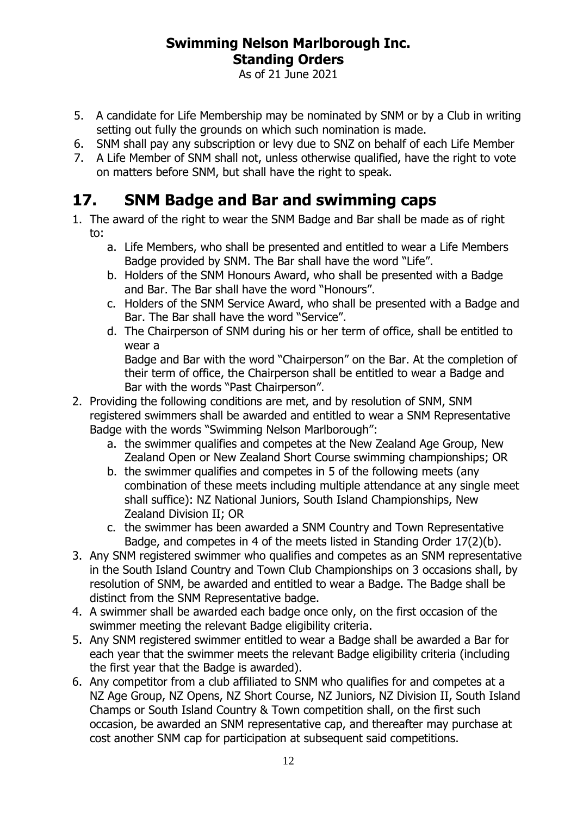As of 21 June 2021

- 5. A candidate for Life Membership may be nominated by SNM or by a Club in writing setting out fully the grounds on which such nomination is made.
- 6. SNM shall pay any subscription or levy due to SNZ on behalf of each Life Member
- 7. A Life Member of SNM shall not, unless otherwise qualified, have the right to vote on matters before SNM, but shall have the right to speak.

# <span id="page-11-0"></span>**17. SNM Badge and Bar and swimming caps**

- 1. The award of the right to wear the SNM Badge and Bar shall be made as of right to:
	- a. Life Members, who shall be presented and entitled to wear a Life Members Badge provided by SNM. The Bar shall have the word "Life".
	- b. Holders of the SNM Honours Award, who shall be presented with a Badge and Bar. The Bar shall have the word "Honours".
	- c. Holders of the SNM Service Award, who shall be presented with a Badge and Bar. The Bar shall have the word "Service".
	- d. The Chairperson of SNM during his or her term of office, shall be entitled to wear a

Badge and Bar with the word "Chairperson" on the Bar. At the completion of their term of office, the Chairperson shall be entitled to wear a Badge and Bar with the words "Past Chairperson".

- 2. Providing the following conditions are met, and by resolution of SNM, SNM registered swimmers shall be awarded and entitled to wear a SNM Representative Badge with the words "Swimming Nelson Marlborough":
	- a. the swimmer qualifies and competes at the New Zealand Age Group, New Zealand Open or New Zealand Short Course swimming championships; OR
	- b. the swimmer qualifies and competes in 5 of the following meets (any combination of these meets including multiple attendance at any single meet shall suffice): NZ National Juniors, South Island Championships, New Zealand Division II; OR
	- c. the swimmer has been awarded a SNM Country and Town Representative Badge, and competes in 4 of the meets listed in Standing Order 17(2)(b).
- 3. Any SNM registered swimmer who qualifies and competes as an SNM representative in the South Island Country and Town Club Championships on 3 occasions shall, by resolution of SNM, be awarded and entitled to wear a Badge. The Badge shall be distinct from the SNM Representative badge.
- 4. A swimmer shall be awarded each badge once only, on the first occasion of the swimmer meeting the relevant Badge eligibility criteria.
- 5. Any SNM registered swimmer entitled to wear a Badge shall be awarded a Bar for each year that the swimmer meets the relevant Badge eligibility criteria (including the first year that the Badge is awarded).
- 6. Any competitor from a club affiliated to SNM who qualifies for and competes at a NZ Age Group, NZ Opens, NZ Short Course, NZ Juniors, NZ Division II, South Island Champs or South Island Country & Town competition shall, on the first such occasion, be awarded an SNM representative cap, and thereafter may purchase at cost another SNM cap for participation at subsequent said competitions.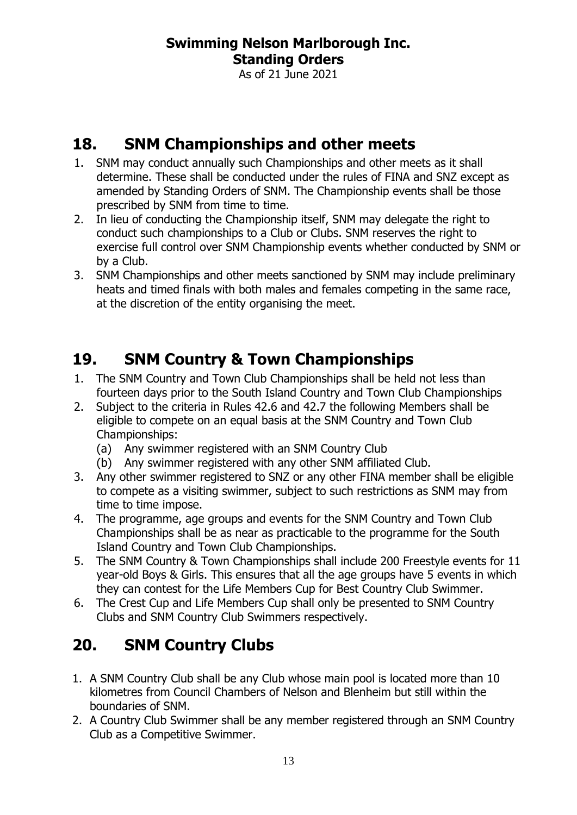As of 21 June 2021

# <span id="page-12-0"></span>**18. SNM Championships and other meets**

- 1. SNM may conduct annually such Championships and other meets as it shall determine. These shall be conducted under the rules of FINA and SNZ except as amended by Standing Orders of SNM. The Championship events shall be those prescribed by SNM from time to time.
- 2. In lieu of conducting the Championship itself, SNM may delegate the right to conduct such championships to a Club or Clubs. SNM reserves the right to exercise full control over SNM Championship events whether conducted by SNM or by a Club.
- 3. SNM Championships and other meets sanctioned by SNM may include preliminary heats and timed finals with both males and females competing in the same race, at the discretion of the entity organising the meet.

# <span id="page-12-1"></span>**19. SNM Country & Town Championships**

- 1. The SNM Country and Town Club Championships shall be held not less than fourteen days prior to the South Island Country and Town Club Championships
- 2. Subject to the criteria in Rules 42.6 and 42.7 the following Members shall be eligible to compete on an equal basis at the SNM Country and Town Club Championships:
	- (a) Any swimmer registered with an SNM Country Club
	- (b) Any swimmer registered with any other SNM affiliated Club.
- 3. Any other swimmer registered to SNZ or any other FINA member shall be eligible to compete as a visiting swimmer, subject to such restrictions as SNM may from time to time impose.
- 4. The programme, age groups and events for the SNM Country and Town Club Championships shall be as near as practicable to the programme for the South Island Country and Town Club Championships.
- 5. The SNM Country & Town Championships shall include 200 Freestyle events for 11 year-old Boys & Girls. This ensures that all the age groups have 5 events in which they can contest for the Life Members Cup for Best Country Club Swimmer.
- 6. The Crest Cup and Life Members Cup shall only be presented to SNM Country Clubs and SNM Country Club Swimmers respectively.

# <span id="page-12-2"></span>**20. SNM Country Clubs**

- 1. A SNM Country Club shall be any Club whose main pool is located more than 10 kilometres from Council Chambers of Nelson and Blenheim but still within the boundaries of SNM.
- 2. A Country Club Swimmer shall be any member registered through an SNM Country Club as a Competitive Swimmer.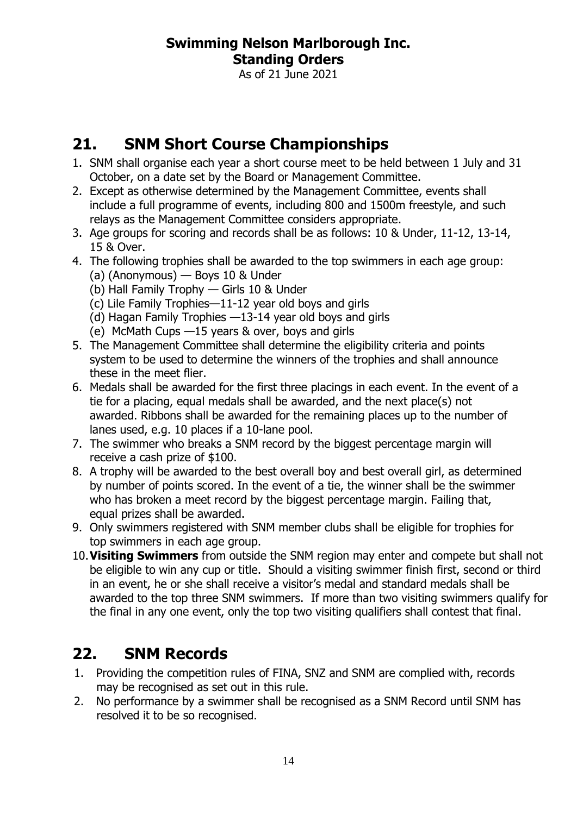As of 21 June 2021

# <span id="page-13-0"></span>**21. SNM Short Course Championships**

- 1. SNM shall organise each year a short course meet to be held between 1 July and 31 October, on a date set by the Board or Management Committee.
- 2. Except as otherwise determined by the Management Committee, events shall include a full programme of events, including 800 and 1500m freestyle, and such relays as the Management Committee considers appropriate.
- 3. Age groups for scoring and records shall be as follows: 10 & Under, 11-12, 13-14, 15 & Over.
- 4. The following trophies shall be awarded to the top swimmers in each age group: (a) (Anonymous) — Boys 10 & Under
	- (b) Hall Family Trophy Girls 10 & Under
	- (c) Lile Family Trophies—11-12 year old boys and girls
	- (d) Hagan Family Trophies —13-14 year old boys and girls
	- (e) McMath Cups —15 years & over, boys and girls
- 5. The Management Committee shall determine the eligibility criteria and points system to be used to determine the winners of the trophies and shall announce these in the meet flier.
- 6. Medals shall be awarded for the first three placings in each event. In the event of a tie for a placing, equal medals shall be awarded, and the next place(s) not awarded. Ribbons shall be awarded for the remaining places up to the number of lanes used, e.g. 10 places if a 10-lane pool.
- 7. The swimmer who breaks a SNM record by the biggest percentage margin will receive a cash prize of \$100.
- 8. A trophy will be awarded to the best overall boy and best overall girl, as determined by number of points scored. In the event of a tie, the winner shall be the swimmer who has broken a meet record by the biggest percentage margin. Failing that, equal prizes shall be awarded.
- 9. Only swimmers registered with SNM member clubs shall be eligible for trophies for top swimmers in each age group.
- 10.**Visiting Swimmers** from outside the SNM region may enter and compete but shall not be eligible to win any cup or title. Should a visiting swimmer finish first, second or third in an event, he or she shall receive a visitor's medal and standard medals shall be awarded to the top three SNM swimmers. If more than two visiting swimmers qualify for the final in any one event, only the top two visiting qualifiers shall contest that final.

# <span id="page-13-1"></span>**22. SNM Records**

- 1. Providing the competition rules of FINA, SNZ and SNM are complied with, records may be recognised as set out in this rule.
- 2. No performance by a swimmer shall be recognised as a SNM Record until SNM has resolved it to be so recognised.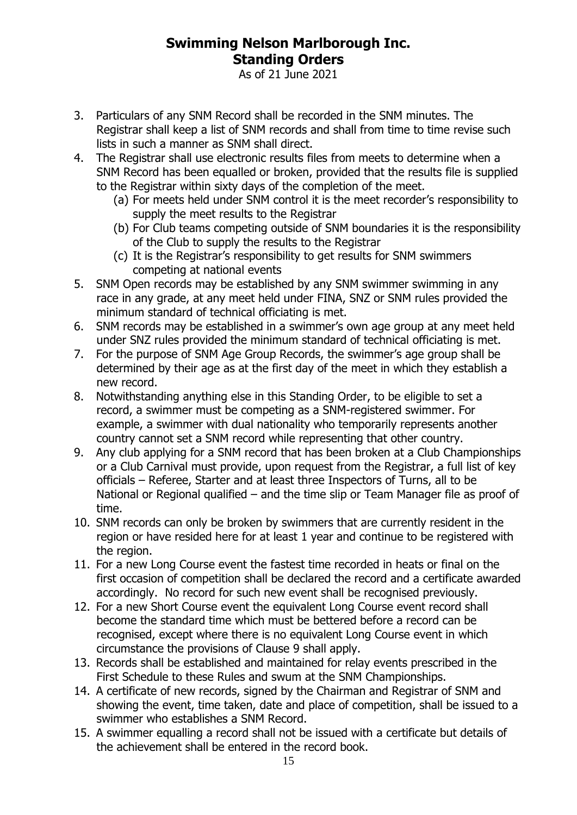As of 21 June 2021

- 3. Particulars of any SNM Record shall be recorded in the SNM minutes. The Registrar shall keep a list of SNM records and shall from time to time revise such lists in such a manner as SNM shall direct.
- 4. The Registrar shall use electronic results files from meets to determine when a SNM Record has been equalled or broken, provided that the results file is supplied to the Registrar within sixty days of the completion of the meet.
	- (a) For meets held under SNM control it is the meet recorder's responsibility to supply the meet results to the Registrar
	- (b) For Club teams competing outside of SNM boundaries it is the responsibility of the Club to supply the results to the Registrar
	- (c) It is the Registrar's responsibility to get results for SNM swimmers competing at national events
- 5. SNM Open records may be established by any SNM swimmer swimming in any race in any grade, at any meet held under FINA, SNZ or SNM rules provided the minimum standard of technical officiating is met.
- 6. SNM records may be established in a swimmer's own age group at any meet held under SNZ rules provided the minimum standard of technical officiating is met.
- 7. For the purpose of SNM Age Group Records, the swimmer's age group shall be determined by their age as at the first day of the meet in which they establish a new record.
- 8. Notwithstanding anything else in this Standing Order, to be eligible to set a record, a swimmer must be competing as a SNM-registered swimmer. For example, a swimmer with dual nationality who temporarily represents another country cannot set a SNM record while representing that other country.
- <span id="page-14-0"></span>9. Any club applying for a SNM record that has been broken at a Club Championships or a Club Carnival must provide, upon request from the Registrar, a full list of key officials – Referee, Starter and at least three Inspectors of Turns, all to be National or Regional qualified – and the time slip or Team Manager file as proof of time.
- 10. SNM records can only be broken by swimmers that are currently resident in the region or have resided here for at least 1 year and continue to be registered with the region.
- 11. For a new Long Course event the fastest time recorded in heats or final on the first occasion of competition shall be declared the record and a certificate awarded accordingly. No record for such new event shall be recognised previously.
- 12. For a new Short Course event the equivalent Long Course event record shall become the standard time which must be bettered before a record can be recognised, except where there is no equivalent Long Course event in which circumstance the provisions of Clause [9](#page-14-0) shall apply.
- 13. Records shall be established and maintained for relay events prescribed in the First Schedule to these Rules and swum at the SNM Championships.
- 14. A certificate of new records, signed by the Chairman and Registrar of SNM and showing the event, time taken, date and place of competition, shall be issued to a swimmer who establishes a SNM Record.
- 15. A swimmer equalling a record shall not be issued with a certificate but details of the achievement shall be entered in the record book.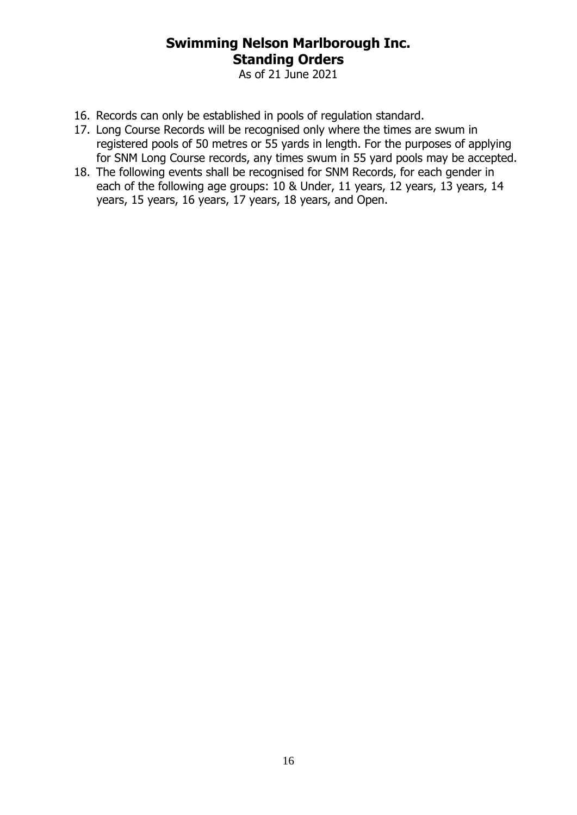As of 21 June 2021

- 16. Records can only be established in pools of regulation standard.
- 17. Long Course Records will be recognised only where the times are swum in registered pools of 50 metres or 55 yards in length. For the purposes of applying for SNM Long Course records, any times swum in 55 yard pools may be accepted.
- 18. The following events shall be recognised for SNM Records, for each gender in each of the following age groups: 10 & Under, 11 years, 12 years, 13 years, 14 years, 15 years, 16 years, 17 years, 18 years, and Open.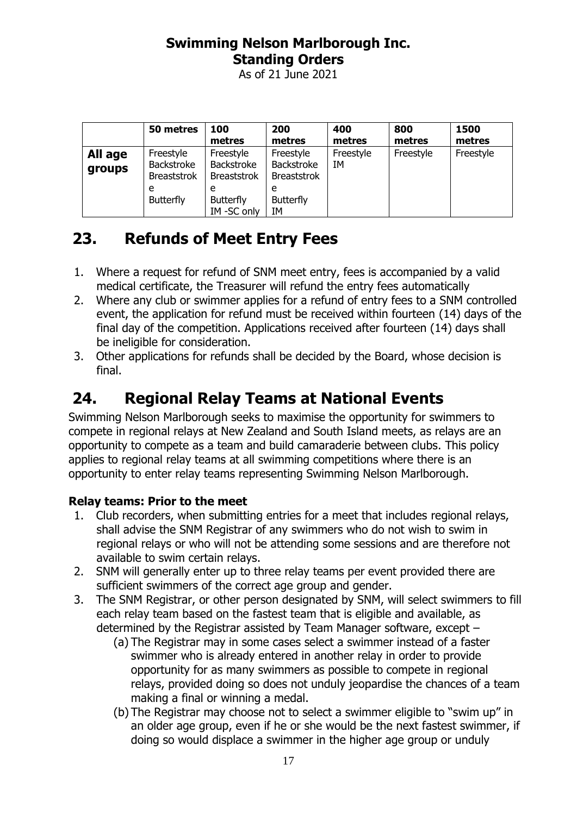As of 21 June 2021

|                   | 50 metres                                     | 100<br>metres                                 | 200<br>metres                                 | 400<br>metres   | 800<br>metres | 1500<br>metres |
|-------------------|-----------------------------------------------|-----------------------------------------------|-----------------------------------------------|-----------------|---------------|----------------|
| All age<br>groups | Freestyle<br>Backstroke<br><b>Breaststrok</b> | Freestyle<br>Backstroke<br><b>Breaststrok</b> | Freestyle<br>Backstroke<br><b>Breaststrok</b> | Freestyle<br>IΜ | Freestyle     | Freestyle      |
|                   | e<br><b>Butterfly</b>                         | e<br><b>Butterfly</b><br>IM-SC only           | e<br><b>Butterfly</b><br>IΜ                   |                 |               |                |

# <span id="page-16-0"></span>**23. Refunds of Meet Entry Fees**

- 1. Where a request for refund of SNM meet entry, fees is accompanied by a valid medical certificate, the Treasurer will refund the entry fees automatically
- 2. Where any club or swimmer applies for a refund of entry fees to a SNM controlled event, the application for refund must be received within fourteen (14) days of the final day of the competition. Applications received after fourteen (14) days shall be ineligible for consideration.
- 3. Other applications for refunds shall be decided by the Board, whose decision is final.

# <span id="page-16-1"></span>**24. Regional Relay Teams at National Events**

Swimming Nelson Marlborough seeks to maximise the opportunity for swimmers to compete in regional relays at New Zealand and South Island meets, as relays are an opportunity to compete as a team and build camaraderie between clubs. This policy applies to regional relay teams at all swimming competitions where there is an opportunity to enter relay teams representing Swimming Nelson Marlborough.

#### **Relay teams: Prior to the meet**

- 1. Club recorders, when submitting entries for a meet that includes regional relays, shall advise the SNM Registrar of any swimmers who do not wish to swim in regional relays or who will not be attending some sessions and are therefore not available to swim certain relays.
- 2. SNM will generally enter up to three relay teams per event provided there are sufficient swimmers of the correct age group and gender.
- 3. The SNM Registrar, or other person designated by SNM, will select swimmers to fill each relay team based on the fastest team that is eligible and available, as determined by the Registrar assisted by Team Manager software, except –
	- (a) The Registrar may in some cases select a swimmer instead of a faster swimmer who is already entered in another relay in order to provide opportunity for as many swimmers as possible to compete in regional relays, provided doing so does not unduly jeopardise the chances of a team making a final or winning a medal.
	- (b) The Registrar may choose not to select a swimmer eligible to "swim up" in an older age group, even if he or she would be the next fastest swimmer, if doing so would displace a swimmer in the higher age group or unduly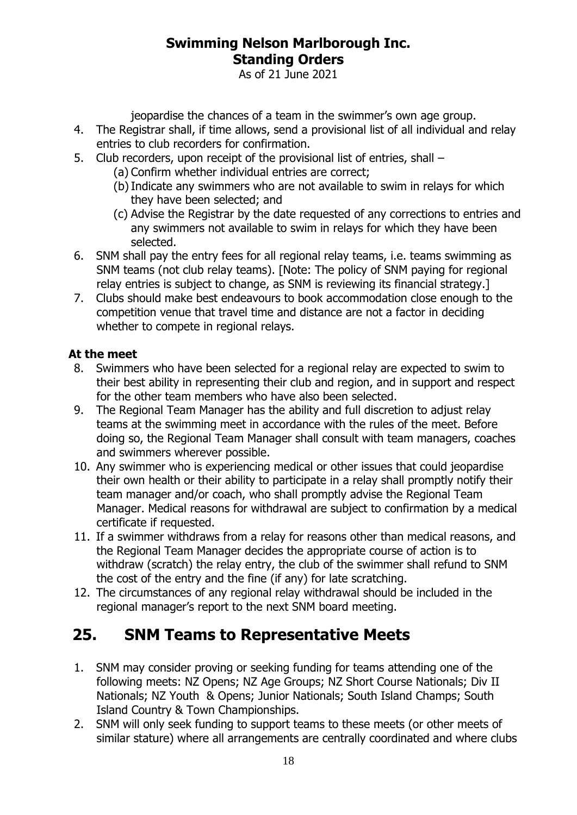As of 21 June 2021

jeopardise the chances of a team in the swimmer's own age group.

- 4. The Registrar shall, if time allows, send a provisional list of all individual and relay entries to club recorders for confirmation.
- 5. Club recorders, upon receipt of the provisional list of entries, shall
	- (a) Confirm whether individual entries are correct;
	- (b)Indicate any swimmers who are not available to swim in relays for which they have been selected; and
	- (c) Advise the Registrar by the date requested of any corrections to entries and any swimmers not available to swim in relays for which they have been selected.
- 6. SNM shall pay the entry fees for all regional relay teams, i.e. teams swimming as SNM teams (not club relay teams). [Note: The policy of SNM paying for regional relay entries is subject to change, as SNM is reviewing its financial strategy.]
- 7. Clubs should make best endeavours to book accommodation close enough to the competition venue that travel time and distance are not a factor in deciding whether to compete in regional relays.

#### **At the meet**

- 8. Swimmers who have been selected for a regional relay are expected to swim to their best ability in representing their club and region, and in support and respect for the other team members who have also been selected.
- 9. The Regional Team Manager has the ability and full discretion to adjust relay teams at the swimming meet in accordance with the rules of the meet. Before doing so, the Regional Team Manager shall consult with team managers, coaches and swimmers wherever possible.
- 10. Any swimmer who is experiencing medical or other issues that could jeopardise their own health or their ability to participate in a relay shall promptly notify their team manager and/or coach, who shall promptly advise the Regional Team Manager. Medical reasons for withdrawal are subject to confirmation by a medical certificate if requested.
- 11. If a swimmer withdraws from a relay for reasons other than medical reasons, and the Regional Team Manager decides the appropriate course of action is to withdraw (scratch) the relay entry, the club of the swimmer shall refund to SNM the cost of the entry and the fine (if any) for late scratching.
- 12. The circumstances of any regional relay withdrawal should be included in the regional manager's report to the next SNM board meeting.

# <span id="page-17-0"></span>**25. SNM Teams to Representative Meets**

- 1. SNM may consider proving or seeking funding for teams attending one of the following meets: NZ Opens; NZ Age Groups; NZ Short Course Nationals; Div II Nationals; NZ Youth & Opens; Junior Nationals; South Island Champs; South Island Country & Town Championships.
- 2. SNM will only seek funding to support teams to these meets (or other meets of similar stature) where all arrangements are centrally coordinated and where clubs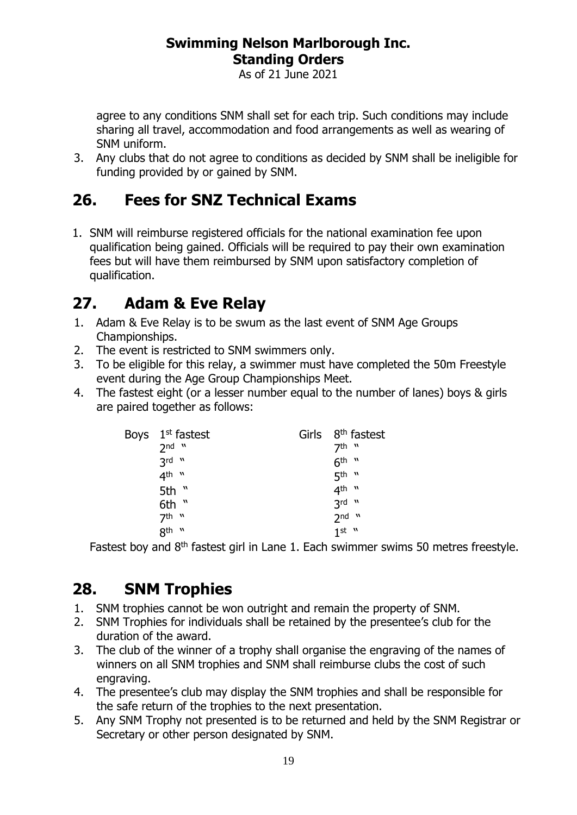As of 21 June 2021

agree to any conditions SNM shall set for each trip. Such conditions may include sharing all travel, accommodation and food arrangements as well as wearing of SNM uniform.

3. Any clubs that do not agree to conditions as decided by SNM shall be ineligible for funding provided by or gained by SNM.

# <span id="page-18-0"></span>**26. Fees for SNZ Technical Exams**

1. SNM will reimburse registered officials for the national examination fee upon qualification being gained. Officials will be required to pay their own examination fees but will have them reimbursed by SNM upon satisfactory completion of qualification.

# <span id="page-18-1"></span>**27. Adam & Eve Relay**

- 1. Adam & Eve Relay is to be swum as the last event of SNM Age Groups Championships.
- 2. The event is restricted to SNM swimmers only.
- 3. To be eligible for this relay, a swimmer must have completed the 50m Freestyle event during the Age Group Championships Meet.
- 4. The fastest eight (or a lesser number equal to the number of lanes) boys & girls are paired together as follows:

| Boys $1st$ fastest |  | Girls 8 <sup>th</sup> fastest |
|--------------------|--|-------------------------------|
| $2nd$ $"$          |  | 7th w                         |
| $3rd$ $"$          |  | $6th$ "                       |
| $4th$ "            |  | 5 <sup>th "</sup>             |
| 5th "              |  | 4 <sup>th "</sup>             |
| 6th "              |  | $3rd$ $"$                     |
| $7th$ "            |  | $2nd$ $"$                     |
| 8th "              |  | $1$ st $"$                    |
|                    |  |                               |

Fastest boy and  $8<sup>th</sup>$  fastest girl in Lane 1. Each swimmer swims 50 metres freestyle.

# <span id="page-18-2"></span>**28. SNM Trophies**

- 1. SNM trophies cannot be won outright and remain the property of SNM.
- 2. SNM Trophies for individuals shall be retained by the presentee's club for the duration of the award.
- 3. The club of the winner of a trophy shall organise the engraving of the names of winners on all SNM trophies and SNM shall reimburse clubs the cost of such engraving.
- 4. The presentee's club may display the SNM trophies and shall be responsible for the safe return of the trophies to the next presentation.
- 5. Any SNM Trophy not presented is to be returned and held by the SNM Registrar or Secretary or other person designated by SNM.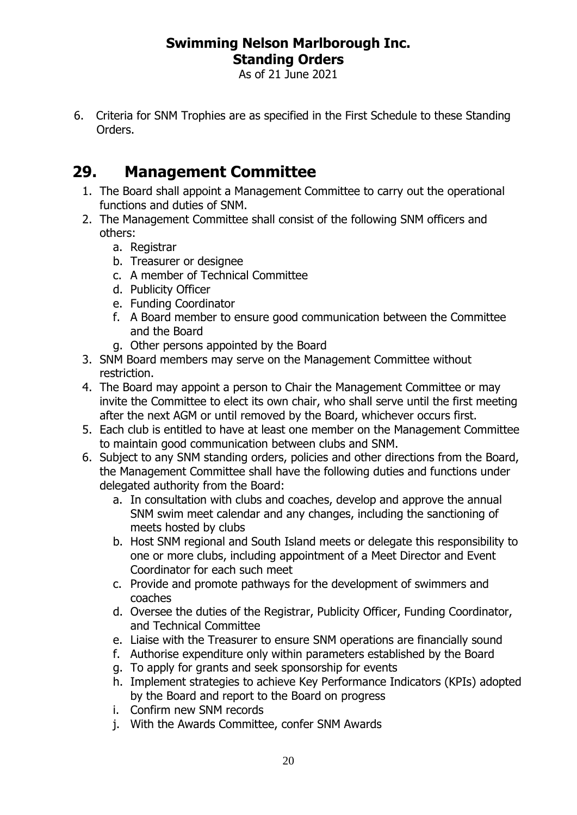As of 21 June 2021

6. Criteria for SNM Trophies are as specified in the First Schedule to these Standing Orders.

# <span id="page-19-0"></span>**29. Management Committee**

- 1. The Board shall appoint a Management Committee to carry out the operational functions and duties of SNM.
- 2. The Management Committee shall consist of the following SNM officers and others:
	- a. Registrar
	- b. Treasurer or designee
	- c. A member of Technical Committee
	- d. Publicity Officer
	- e. Funding Coordinator
	- f. A Board member to ensure good communication between the Committee and the Board
	- g. Other persons appointed by the Board
- 3. SNM Board members may serve on the Management Committee without restriction.
- 4. The Board may appoint a person to Chair the Management Committee or may invite the Committee to elect its own chair, who shall serve until the first meeting after the next AGM or until removed by the Board, whichever occurs first.
- 5. Each club is entitled to have at least one member on the Management Committee to maintain good communication between clubs and SNM.
- 6. Subject to any SNM standing orders, policies and other directions from the Board, the Management Committee shall have the following duties and functions under delegated authority from the Board:
	- a. In consultation with clubs and coaches, develop and approve the annual SNM swim meet calendar and any changes, including the sanctioning of meets hosted by clubs
	- b. Host SNM regional and South Island meets or delegate this responsibility to one or more clubs, including appointment of a Meet Director and Event Coordinator for each such meet
	- c. Provide and promote pathways for the development of swimmers and coaches
	- d. Oversee the duties of the Registrar, Publicity Officer, Funding Coordinator, and Technical Committee
	- e. Liaise with the Treasurer to ensure SNM operations are financially sound
	- f. Authorise expenditure only within parameters established by the Board
	- g. To apply for grants and seek sponsorship for events
	- h. Implement strategies to achieve Key Performance Indicators (KPIs) adopted by the Board and report to the Board on progress
	- i. Confirm new SNM records
	- j. With the Awards Committee, confer SNM Awards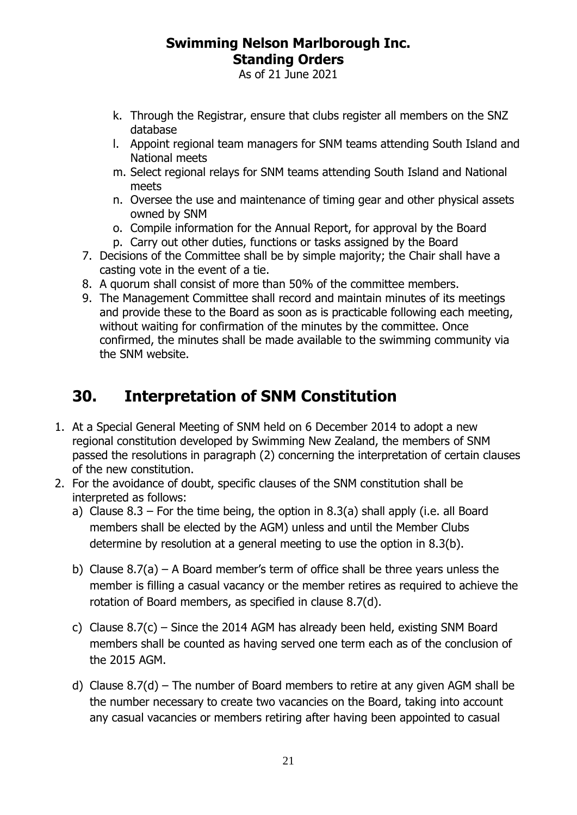As of 21 June 2021

- k. Through the Registrar, ensure that clubs register all members on the SNZ database
- l. Appoint regional team managers for SNM teams attending South Island and National meets
- m. Select regional relays for SNM teams attending South Island and National meets
- n. Oversee the use and maintenance of timing gear and other physical assets owned by SNM
- o. Compile information for the Annual Report, for approval by the Board
- p. Carry out other duties, functions or tasks assigned by the Board
- 7. Decisions of the Committee shall be by simple majority; the Chair shall have a casting vote in the event of a tie.
- 8. A quorum shall consist of more than 50% of the committee members.
- 9. The Management Committee shall record and maintain minutes of its meetings and provide these to the Board as soon as is practicable following each meeting, without waiting for confirmation of the minutes by the committee. Once confirmed, the minutes shall be made available to the swimming community via the SNM website.

# <span id="page-20-0"></span>**30. Interpretation of SNM Constitution**

- 1. At a Special General Meeting of SNM held on 6 December 2014 to adopt a new regional constitution developed by Swimming New Zealand, the members of SNM passed the resolutions in paragraph (2) concerning the interpretation of certain clauses of the new constitution.
- 2. For the avoidance of doubt, specific clauses of the SNM constitution shall be interpreted as follows:
	- a) Clause  $8.3$  For the time being, the option in  $8.3(a)$  shall apply (i.e. all Board members shall be elected by the AGM) unless and until the Member Clubs determine by resolution at a general meeting to use the option in 8.3(b).
	- b) Clause 8.7(a) A Board member's term of office shall be three years unless the member is filling a casual vacancy or the member retires as required to achieve the rotation of Board members, as specified in clause 8.7(d).
	- c) Clause  $8.7(c)$  Since the 2014 AGM has already been held, existing SNM Board members shall be counted as having served one term each as of the conclusion of the 2015 AGM.
	- d) Clause  $8.7(d)$  The number of Board members to retire at any given AGM shall be the number necessary to create two vacancies on the Board, taking into account any casual vacancies or members retiring after having been appointed to casual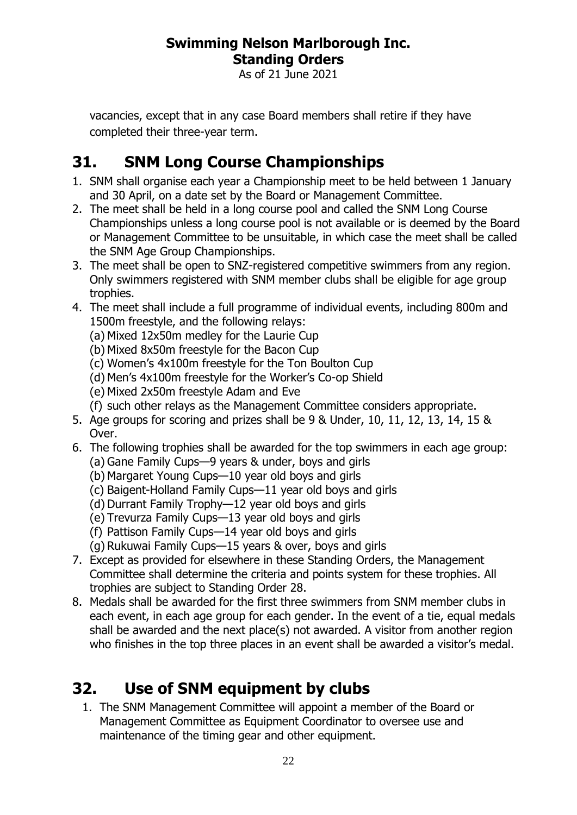As of 21 June 2021

vacancies, except that in any case Board members shall retire if they have completed their three-year term.

# <span id="page-21-0"></span>**31. SNM Long Course Championships**

- 1. SNM shall organise each year a Championship meet to be held between 1 January and 30 April, on a date set by the Board or Management Committee.
- 2. The meet shall be held in a long course pool and called the SNM Long Course Championships unless a long course pool is not available or is deemed by the Board or Management Committee to be unsuitable, in which case the meet shall be called the SNM Age Group Championships.
- 3. The meet shall be open to SNZ-registered competitive swimmers from any region. Only swimmers registered with SNM member clubs shall be eligible for age group trophies.
- 4. The meet shall include a full programme of individual events, including 800m and 1500m freestyle, and the following relays:
	- (a) Mixed 12x50m medley for the Laurie Cup
	- (b) Mixed 8x50m freestyle for the Bacon Cup
	- (c) Women's 4x100m freestyle for the Ton Boulton Cup
	- (d) Men's 4x100m freestyle for the Worker's Co-op Shield
	- (e) Mixed 2x50m freestyle Adam and Eve
	- (f) such other relays as the Management Committee considers appropriate.
- 5. Age groups for scoring and prizes shall be 9 & Under, 10, 11, 12, 13, 14, 15 & Over.
- 6. The following trophies shall be awarded for the top swimmers in each age group: (a) Gane Family Cups—9 years & under, boys and girls
	- (b) Margaret Young Cups—10 year old boys and girls
	- (c) Baigent-Holland Family Cups—11 year old boys and girls
	- (d) Durrant Family Trophy—12 year old boys and girls
	- (e) Trevurza Family Cups—13 year old boys and girls
	- (f) Pattison Family Cups—14 year old boys and girls
	- (g) Rukuwai Family Cups—15 years & over, boys and girls
- 7. Except as provided for elsewhere in these Standing Orders, the Management Committee shall determine the criteria and points system for these trophies. All trophies are subject to Standing Order 28.
- 8. Medals shall be awarded for the first three swimmers from SNM member clubs in each event, in each age group for each gender. In the event of a tie, equal medals shall be awarded and the next place(s) not awarded. A visitor from another region who finishes in the top three places in an event shall be awarded a visitor's medal.

# <span id="page-21-1"></span>**32. Use of SNM equipment by clubs**

1. The SNM Management Committee will appoint a member of the Board or Management Committee as Equipment Coordinator to oversee use and maintenance of the timing gear and other equipment.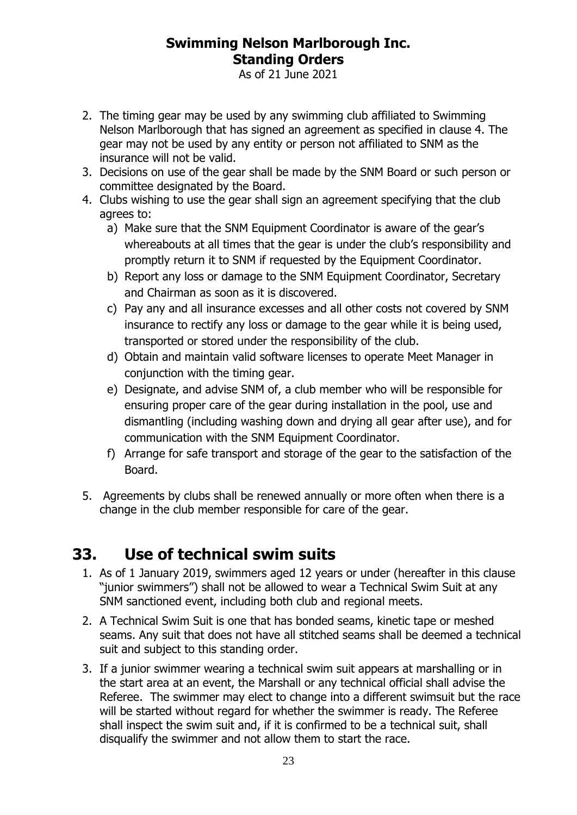As of 21 June 2021

- 2. The timing gear may be used by any swimming club affiliated to Swimming Nelson Marlborough that has signed an agreement as specified in clause 4. The gear may not be used by any entity or person not affiliated to SNM as the insurance will not be valid.
- 3. Decisions on use of the gear shall be made by the SNM Board or such person or committee designated by the Board.
- 4. Clubs wishing to use the gear shall sign an agreement specifying that the club agrees to:
	- a) Make sure that the SNM Equipment Coordinator is aware of the gear's whereabouts at all times that the gear is under the club's responsibility and promptly return it to SNM if requested by the Equipment Coordinator.
	- b) Report any loss or damage to the SNM Equipment Coordinator, Secretary and Chairman as soon as it is discovered.
	- c) Pay any and all insurance excesses and all other costs not covered by SNM insurance to rectify any loss or damage to the gear while it is being used, transported or stored under the responsibility of the club.
	- d) Obtain and maintain valid software licenses to operate Meet Manager in conjunction with the timing gear.
	- e) Designate, and advise SNM of, a club member who will be responsible for ensuring proper care of the gear during installation in the pool, use and dismantling (including washing down and drying all gear after use), and for communication with the SNM Equipment Coordinator.
	- f) Arrange for safe transport and storage of the gear to the satisfaction of the Board.
- 5. Agreements by clubs shall be renewed annually or more often when there is a change in the club member responsible for care of the gear.

# <span id="page-22-0"></span>**33. Use of technical swim suits**

- 1. As of 1 January 2019, swimmers aged 12 years or under (hereafter in this clause "junior swimmers") shall not be allowed to wear a Technical Swim Suit at any SNM sanctioned event, including both club and regional meets.
- 2. A Technical Swim Suit is one that has bonded seams, kinetic tape or meshed seams. Any suit that does not have all stitched seams shall be deemed a technical suit and subject to this standing order.
- 3. If a junior swimmer wearing a technical swim suit appears at marshalling or in the start area at an event, the Marshall or any technical official shall advise the Referee. The swimmer may elect to change into a different swimsuit but the race will be started without regard for whether the swimmer is ready. The Referee shall inspect the swim suit and, if it is confirmed to be a technical suit, shall disqualify the swimmer and not allow them to start the race.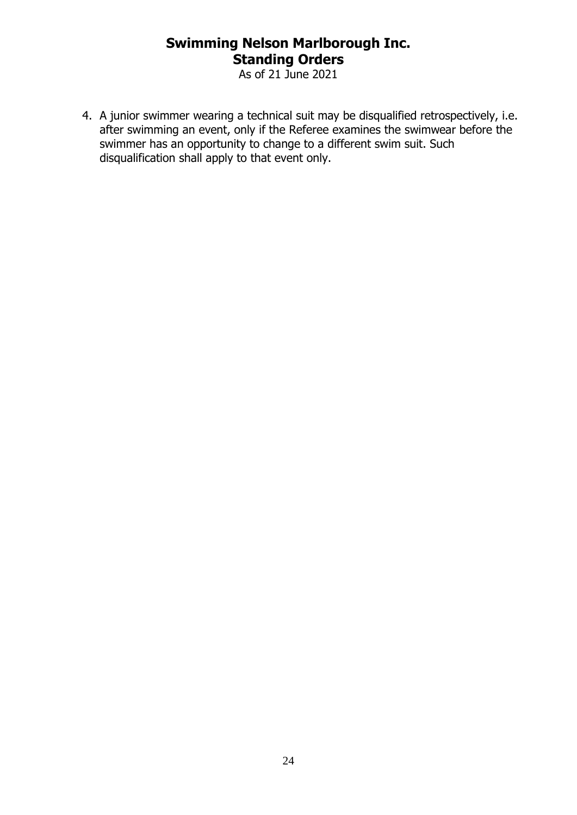As of 21 June 2021

4. A junior swimmer wearing a technical suit may be disqualified retrospectively, i.e. after swimming an event, only if the Referee examines the swimwear before the swimmer has an opportunity to change to a different swim suit. Such disqualification shall apply to that event only.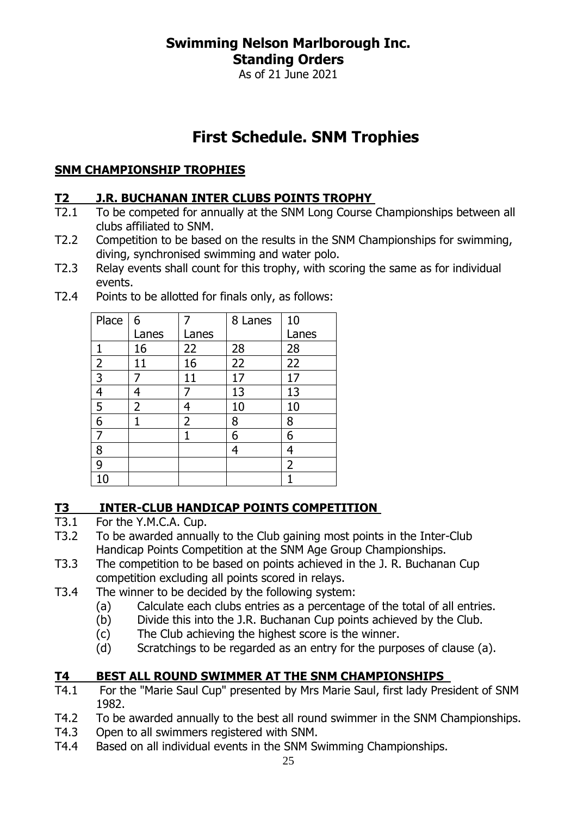As of 21 June 2021

# **First Schedule. SNM Trophies**

#### <span id="page-24-0"></span>**SNM CHAMPIONSHIP TROPHIES**

#### **T2 J.R. BUCHANAN INTER CLUBS POINTS TROPHY**

- T2.1 To be competed for annually at the SNM Long Course Championships between all clubs affiliated to SNM.
- T2.2 Competition to be based on the results in the SNM Championships for swimming, diving, synchronised swimming and water polo.
- T2.3 Relay events shall count for this trophy, with scoring the same as for individual events.

| Place          | 6     |                | 8 Lanes | 10             |
|----------------|-------|----------------|---------|----------------|
|                | Lanes | Lanes          |         | Lanes          |
| 1              | 16    | 22             | 28      | 28             |
| $\overline{2}$ | 11    | 16             | 22      | 22             |
| 3              |       | 11             | 17      | 17             |
| $\overline{a}$ | 4     |                | 13      | 13             |
| 5              | 2     | Δ              | 10      | 10             |
| $6\,$          | 1     | $\overline{2}$ | 8       | 8              |
| 7              |       |                | 6       | 6              |
| 8              |       |                | 4       | 4              |
| 9              |       |                |         | $\overline{2}$ |
| 10             |       |                |         |                |

T2.4 Points to be allotted for finals only, as follows:

#### **T3 INTER-CLUB HANDICAP POINTS COMPETITION**

- T3.1 For the Y.M.C.A. Cup.
- T3.2 To be awarded annually to the Club gaining most points in the Inter-Club Handicap Points Competition at the SNM Age Group Championships.
- T3.3 The competition to be based on points achieved in the J. R. Buchanan Cup competition excluding all points scored in relays.
- T3.4 The winner to be decided by the following system:
	- (a) Calculate each clubs entries as a percentage of the total of all entries.
	- (b) Divide this into the J.R. Buchanan Cup points achieved by the Club.
	- (c) The Club achieving the highest score is the winner.
	- (d) Scratchings to be regarded as an entry for the purposes of clause (a).

## **T4 BEST ALL ROUND SWIMMER AT THE SNM CHAMPIONSHIPS**

- T4.1 For the "Marie Saul Cup" presented by Mrs Marie Saul, first lady President of SNM 1982.
- T4.2 To be awarded annually to the best all round swimmer in the SNM Championships.
- T4.3 Open to all swimmers registered with SNM.
- T4.4 Based on all individual events in the SNM Swimming Championships.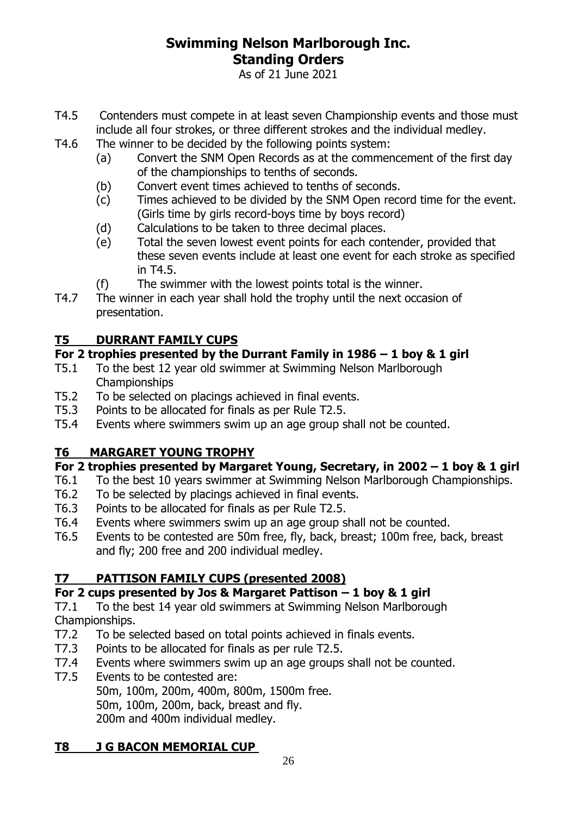As of 21 June 2021

- T4.5 Contenders must compete in at least seven Championship events and those must include all four strokes, or three different strokes and the individual medley.
- T4.6 The winner to be decided by the following points system:
	- (a) Convert the SNM Open Records as at the commencement of the first day of the championships to tenths of seconds.
	- (b) Convert event times achieved to tenths of seconds.
	- (c) Times achieved to be divided by the SNM Open record time for the event. (Girls time by girls record-boys time by boys record)
	- (d) Calculations to be taken to three decimal places.
	- (e) Total the seven lowest event points for each contender, provided that these seven events include at least one event for each stroke as specified in T4.5.
	- (f) The swimmer with the lowest points total is the winner.
- T4.7 The winner in each year shall hold the trophy until the next occasion of presentation.

#### **T5 DURRANT FAMILY CUPS**

#### **For 2 trophies presented by the Durrant Family in 1986 – 1 boy & 1 girl**

- T5.1 To the best 12 year old swimmer at Swimming Nelson Marlborough Championships
- T5.2 To be selected on placings achieved in final events.
- T5.3 Points to be allocated for finals as per Rule T2.5.
- T5.4 Events where swimmers swim up an age group shall not be counted.

#### **T6 MARGARET YOUNG TROPHY**

#### **For 2 trophies presented by Margaret Young, Secretary, in 2002 – 1 boy & 1 girl**

- T6.1 To the best 10 years swimmer at Swimming Nelson Marlborough Championships.
- T6.2 To be selected by placings achieved in final events.
- T6.3 Points to be allocated for finals as per Rule T2.5.
- T6.4 Events where swimmers swim up an age group shall not be counted.
- T6.5 Events to be contested are 50m free, fly, back, breast; 100m free, back, breast and fly; 200 free and 200 individual medley.

#### **T7 PATTISON FAMILY CUPS (presented 2008)**

#### **For 2 cups presented by Jos & Margaret Pattison – 1 boy & 1 girl**

T7.1 To the best 14 year old swimmers at Swimming Nelson Marlborough Championships.

- T7.2 To be selected based on total points achieved in finals events.
- T7.3 Points to be allocated for finals as per rule T2.5.
- T7.4 Events where swimmers swim up an age groups shall not be counted.
- T7.5 Events to be contested are:

50m, 100m, 200m, 400m, 800m, 1500m free. 50m, 100m, 200m, back, breast and fly. 200m and 400m individual medley.

#### **T8 J G BACON MEMORIAL CUP**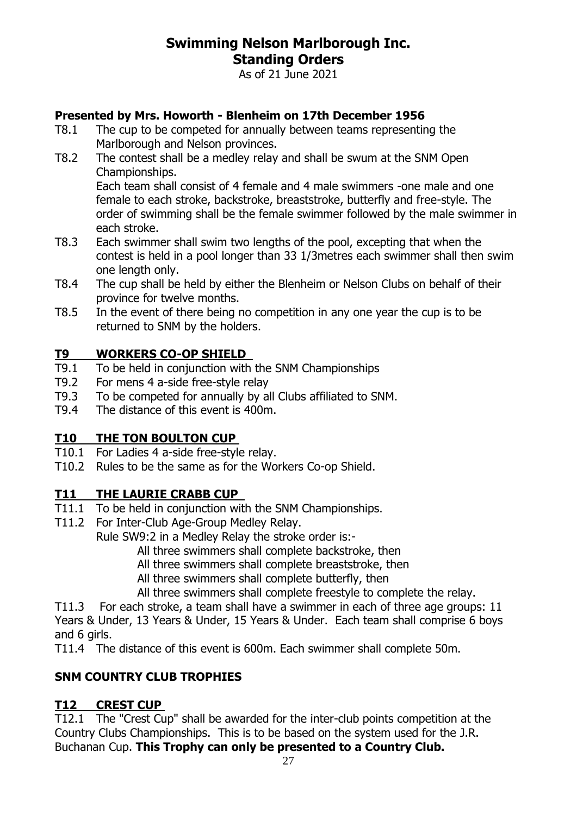As of 21 June 2021

#### **Presented by Mrs. Howorth - Blenheim on 17th December 1956**

- T8.1 The cup to be competed for annually between teams representing the Marlborough and Nelson provinces.
- T8.2 The contest shall be a medley relay and shall be swum at the SNM Open Championships.

Each team shall consist of 4 female and 4 male swimmers -one male and one female to each stroke, backstroke, breaststroke, butterfly and free-style. The order of swimming shall be the female swimmer followed by the male swimmer in each stroke.

- T8.3 Each swimmer shall swim two lengths of the pool, excepting that when the contest is held in a pool longer than 33 1/3metres each swimmer shall then swim one length only.
- T8.4 The cup shall be held by either the Blenheim or Nelson Clubs on behalf of their province for twelve months.
- T8.5 In the event of there being no competition in any one year the cup is to be returned to SNM by the holders.

#### **T9 WORKERS CO-OP SHIELD**

- T9.1 To be held in conjunction with the SNM Championships
- T9.2 For mens 4 a-side free-style relay
- T9.3 To be competed for annually by all Clubs affiliated to SNM.
- T9.4 The distance of this event is 400m.

#### **T10 THE TON BOULTON CUP**

- T10.1 For Ladies 4 a-side free-style relay.
- T10.2 Rules to be the same as for the Workers Co-op Shield.

#### **T11 THE LAURIE CRABB CUP**

- T11.1 To be held in conjunction with the SNM Championships.
- T11.2 For Inter-Club Age-Group Medley Relay.
	- Rule SW9:2 in a Medley Relay the stroke order is:-
		- All three swimmers shall complete backstroke, then
		- All three swimmers shall complete breaststroke, then
		- All three swimmers shall complete butterfly, then
		- All three swimmers shall complete freestyle to complete the relay.

T11.3 For each stroke, a team shall have a swimmer in each of three age groups: 11 Years & Under, 13 Years & Under, 15 Years & Under. Each team shall comprise 6 boys and 6 girls.

T11.4 The distance of this event is 600m. Each swimmer shall complete 50m.

#### **SNM COUNTRY CLUB TROPHIES**

#### **T12 CREST CUP**

T12.1 The "Crest Cup" shall be awarded for the inter-club points competition at the Country Clubs Championships. This is to be based on the system used for the J.R. Buchanan Cup. **This Trophy can only be presented to a Country Club.**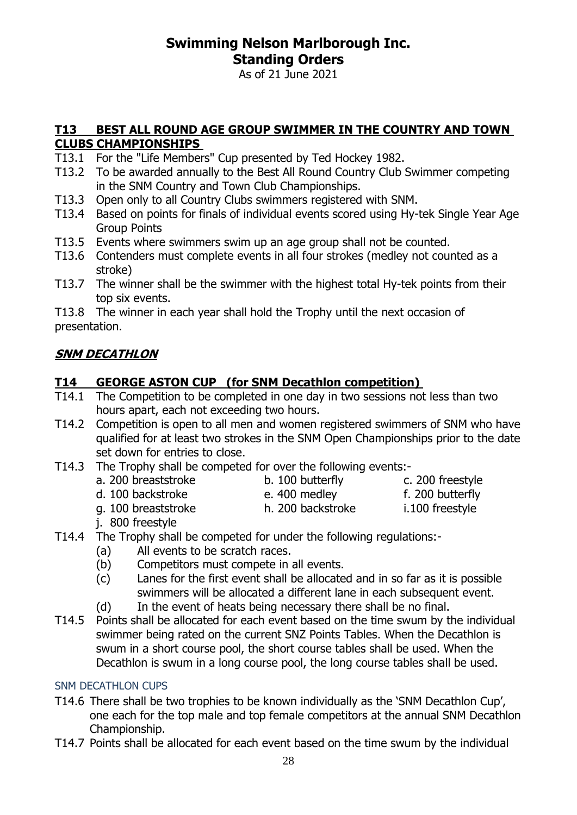As of 21 June 2021

#### **T13 BEST ALL ROUND AGE GROUP SWIMMER IN THE COUNTRY AND TOWN CLUBS CHAMPIONSHIPS**

- T13.1 For the "Life Members" Cup presented by Ted Hockey 1982.
- T13.2 To be awarded annually to the Best All Round Country Club Swimmer competing in the SNM Country and Town Club Championships.
- T13.3 Open only to all Country Clubs swimmers registered with SNM.
- T13.4 Based on points for finals of individual events scored using Hy-tek Single Year Age Group Points
- T13.5 Events where swimmers swim up an age group shall not be counted.
- T13.6 Contenders must complete events in all four strokes (medley not counted as a stroke)
- T13.7 The winner shall be the swimmer with the highest total Hy-tek points from their top six events.

T13.8 The winner in each year shall hold the Trophy until the next occasion of presentation.

#### **SNM DECATHLON**

#### **T14 GEORGE ASTON CUP (for SNM Decathlon competition)**

- T14.1 The Competition to be completed in one day in two sessions not less than two hours apart, each not exceeding two hours.
- T14.2 Competition is open to all men and women registered swimmers of SNM who have qualified for at least two strokes in the SNM Open Championships prior to the date set down for entries to close.
- T14.3 The Trophy shall be competed for over the following events:
	- a. 200 breaststroke b. 100 butterfly c. 200 freestyle
		-
- 
- d. 100 backstroke e. 400 medley f. 200 butterfly g. 100 breaststroke h. 200 backstroke i.100 freestyle
	-
- 
- j. 800 freestyle
- T14.4 The Trophy shall be competed for under the following regulations:-
	- (a) All events to be scratch races.
	- (b) Competitors must compete in all events.
	- (c) Lanes for the first event shall be allocated and in so far as it is possible swimmers will be allocated a different lane in each subsequent event.
	- (d) In the event of heats being necessary there shall be no final.
- T14.5 Points shall be allocated for each event based on the time swum by the individual swimmer being rated on the current SNZ Points Tables. When the Decathlon is swum in a short course pool, the short course tables shall be used. When the Decathlon is swum in a long course pool, the long course tables shall be used.

#### SNM DECATHLON CUPS

- T14.6 There shall be two trophies to be known individually as the 'SNM Decathlon Cup', one each for the top male and top female competitors at the annual SNM Decathlon Championship.
- T14.7 Points shall be allocated for each event based on the time swum by the individual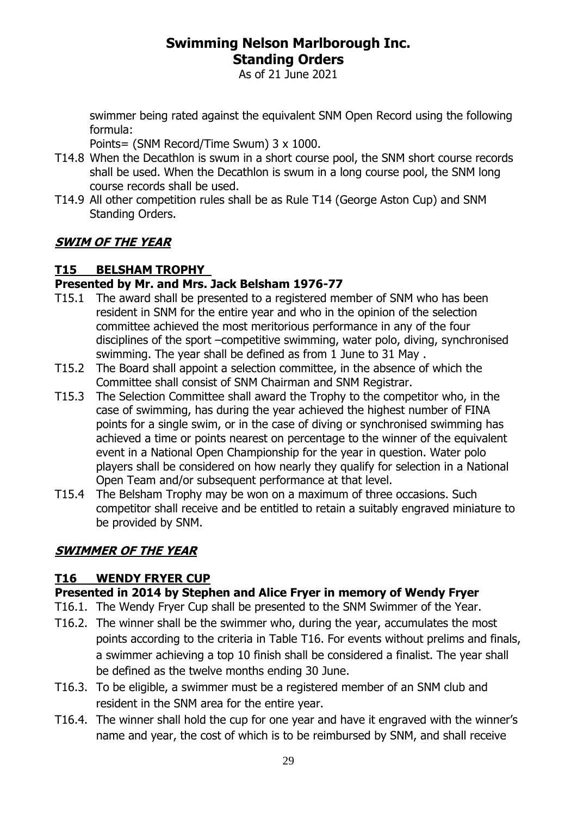As of 21 June 2021

swimmer being rated against the equivalent SNM Open Record using the following formula:

Points= (SNM Record/Time Swum) 3 x 1000.

- T14.8 When the Decathlon is swum in a short course pool, the SNM short course records shall be used. When the Decathlon is swum in a long course pool, the SNM long course records shall be used.
- T14.9 All other competition rules shall be as Rule T14 (George Aston Cup) and SNM Standing Orders.

#### **SWIM OF THE YEAR**

#### **T15 BELSHAM TROPHY**

#### **Presented by Mr. and Mrs. Jack Belsham 1976-77**

- T15.1 The award shall be presented to a registered member of SNM who has been resident in SNM for the entire year and who in the opinion of the selection committee achieved the most meritorious performance in any of the four disciplines of the sport –competitive swimming, water polo, diving, synchronised swimming. The year shall be defined as from 1 June to 31 May .
- T15.2 The Board shall appoint a selection committee, in the absence of which the Committee shall consist of SNM Chairman and SNM Registrar.
- T15.3 The Selection Committee shall award the Trophy to the competitor who, in the case of swimming, has during the year achieved the highest number of FINA points for a single swim, or in the case of diving or synchronised swimming has achieved a time or points nearest on percentage to the winner of the equivalent event in a National Open Championship for the year in question. Water polo players shall be considered on how nearly they qualify for selection in a National Open Team and/or subsequent performance at that level.
- T15.4 The Belsham Trophy may be won on a maximum of three occasions. Such competitor shall receive and be entitled to retain a suitably engraved miniature to be provided by SNM.

#### **SWIMMER OF THE YEAR**

#### **T16 WENDY FRYER CUP**

#### **Presented in 2014 by Stephen and Alice Fryer in memory of Wendy Fryer**

- T16.1. The Wendy Fryer Cup shall be presented to the SNM Swimmer of the Year.
- T16.2. The winner shall be the swimmer who, during the year, accumulates the most points according to the criteria in Table T16. For events without prelims and finals, a swimmer achieving a top 10 finish shall be considered a finalist. The year shall be defined as the twelve months ending 30 June.
- T16.3. To be eligible, a swimmer must be a registered member of an SNM club and resident in the SNM area for the entire year.
- T16.4. The winner shall hold the cup for one year and have it engraved with the winner's name and year, the cost of which is to be reimbursed by SNM, and shall receive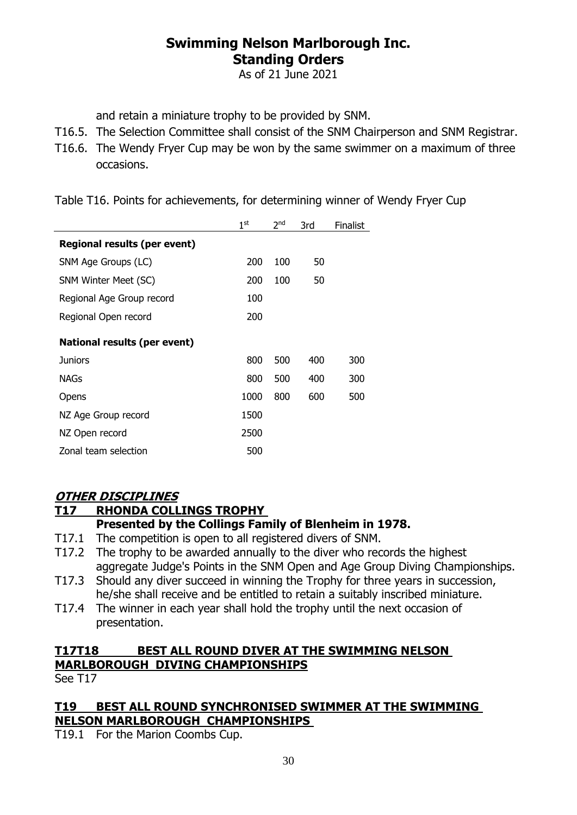As of 21 June 2021

and retain a miniature trophy to be provided by SNM.

- T16.5. The Selection Committee shall consist of the SNM Chairperson and SNM Registrar.
- T16.6. The Wendy Fryer Cup may be won by the same swimmer on a maximum of three occasions.

Table T16. Points for achievements, for determining winner of Wendy Fryer Cup

|                                     | 1 <sup>st</sup> | 2 <sub>nd</sub> | 3rd | <b>Finalist</b> |
|-------------------------------------|-----------------|-----------------|-----|-----------------|
| Regional results (per event)        |                 |                 |     |                 |
| SNM Age Groups (LC)                 | 200             | 100             | 50  |                 |
| SNM Winter Meet (SC)                | 200             | 100             | 50  |                 |
| Regional Age Group record           | 100             |                 |     |                 |
| Regional Open record                | 200             |                 |     |                 |
| <b>National results (per event)</b> |                 |                 |     |                 |
| <b>Juniors</b>                      | 800             | 500             | 400 | 300             |
| NAGs                                | 800             | 500             | 400 | 300             |
| Opens                               | 1000            | 800             | 600 | 500             |
| NZ Age Group record                 | 1500            |                 |     |                 |
| NZ Open record                      | 2500            |                 |     |                 |
| Zonal team selection                | 500             |                 |     |                 |

#### **OTHER DISCIPLINES**

#### **T17 RHONDA COLLINGS TROPHY**

#### **Presented by the Collings Family of Blenheim in 1978.**

- T17.1 The competition is open to all registered divers of SNM.
- T17.2 The trophy to be awarded annually to the diver who records the highest aggregate Judge's Points in the SNM Open and Age Group Diving Championships.
- T17.3 Should any diver succeed in winning the Trophy for three years in succession, he/she shall receive and be entitled to retain a suitably inscribed miniature.
- T17.4 The winner in each year shall hold the trophy until the next occasion of presentation.

## **T17T18 BEST ALL ROUND DIVER AT THE SWIMMING NELSON MARLBOROUGH DIVING CHAMPIONSHIPS**

See T17

#### **T19 BEST ALL ROUND SYNCHRONISED SWIMMER AT THE SWIMMING NELSON MARLBOROUGH CHAMPIONSHIPS**

T19.1 For the Marion Coombs Cup.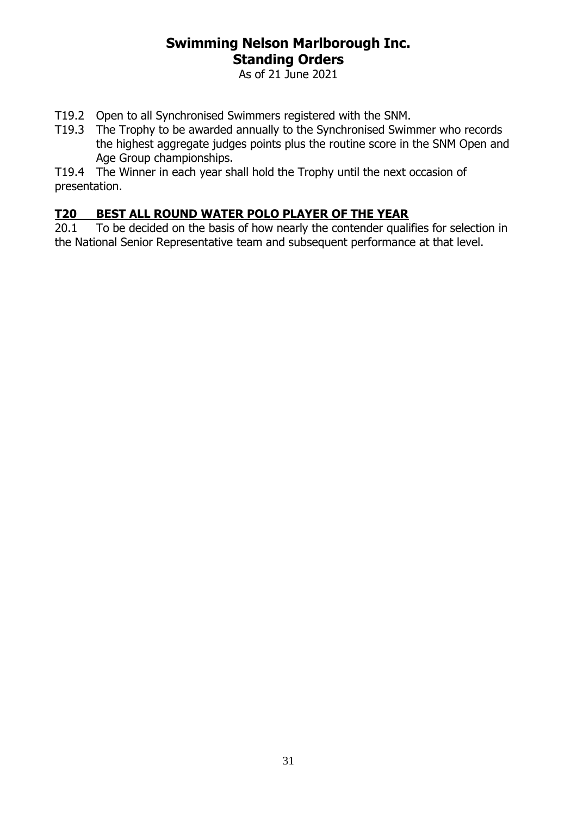As of 21 June 2021

- T19.2 Open to all Synchronised Swimmers registered with the SNM.
- T19.3 The Trophy to be awarded annually to the Synchronised Swimmer who records the highest aggregate judges points plus the routine score in the SNM Open and Age Group championships.

T19.4 The Winner in each year shall hold the Trophy until the next occasion of presentation.

#### **T20 BEST ALL ROUND WATER POLO PLAYER OF THE YEAR**

20.1 To be decided on the basis of how nearly the contender qualifies for selection in the National Senior Representative team and subsequent performance at that level.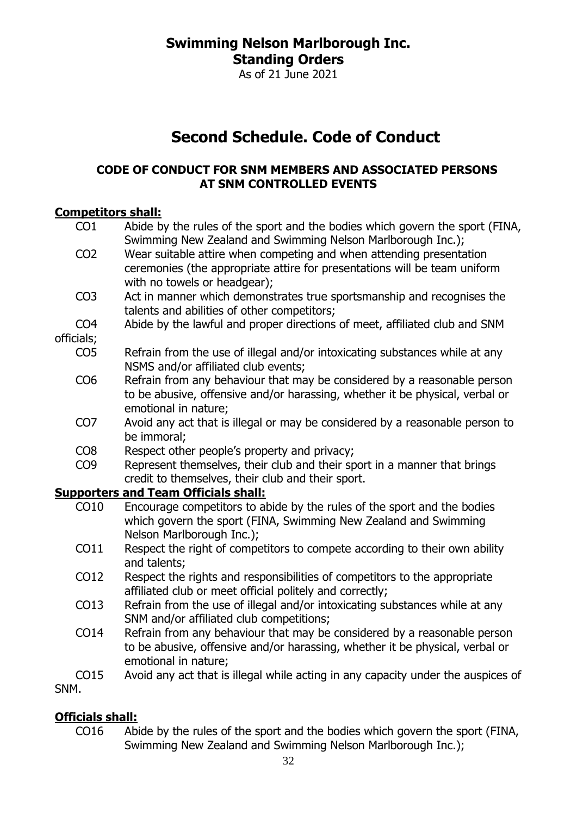As of 21 June 2021

# **Second Schedule. Code of Conduct**

#### <span id="page-31-0"></span>**CODE OF CONDUCT FOR SNM MEMBERS AND ASSOCIATED PERSONS AT SNM CONTROLLED EVENTS**

#### **Competitors shall:**

| CO <sub>1</sub> | Abide by the rules of the sport and the bodies which govern the sport (FINA,<br>Swimming New Zealand and Swimming Nelson Marlborough Inc.); |
|-----------------|---------------------------------------------------------------------------------------------------------------------------------------------|
| CO <sub>2</sub> | Wear suitable attire when competing and when attending presentation                                                                         |
|                 | ceremonies (the appropriate attire for presentations will be team uniform                                                                   |
|                 | with no towels or headgear);                                                                                                                |
| CO <sub>3</sub> | Act in manner which demonstrates true sportsmanship and recognises the                                                                      |
|                 | talents and abilities of other competitors;                                                                                                 |
| CO <sub>4</sub> | Abide by the lawful and proper directions of meet, affiliated club and SNM                                                                  |
| officials;      |                                                                                                                                             |
| CO <sub>5</sub> | Refrain from the use of illegal and/or intoxicating substances while at any                                                                 |
|                 | NSMS and/or affiliated club events;                                                                                                         |
| CO <sub>6</sub> | Refrain from any behaviour that may be considered by a reasonable person                                                                    |
|                 | to be abusive, offensive and/or harassing, whether it be physical, verbal or                                                                |
|                 | emotional in nature;                                                                                                                        |
| CO <sub>7</sub> | Avoid any act that is illegal or may be considered by a reasonable person to                                                                |
|                 | be immoral;                                                                                                                                 |
| CO <sub>8</sub> | Respect other people's property and privacy;                                                                                                |
| CO <sub>9</sub> | Represent themselves, their club and their sport in a manner that brings                                                                    |
|                 | credit to themselves, their club and their sport.                                                                                           |
|                 | <b>Supporters and Team Officials shall:</b>                                                                                                 |
| CO10            | Encourage competitors to abide by the rules of the sport and the bodies                                                                     |
|                 | which govern the sport (FINA, Swimming New Zealand and Swimming                                                                             |
|                 | Nelson Marlborough Inc.);                                                                                                                   |
| CO11            | Respect the right of competitors to compete according to their own ability                                                                  |
|                 | and talents;                                                                                                                                |
| CO12            | Respect the rights and responsibilities of competitors to the appropriate                                                                   |
|                 | affiliated club or meet official politely and correctly;                                                                                    |
| CO13            | Refrain from the use of illegal and/or intoxicating substances while at any                                                                 |
|                 | SNM and/or affiliated club competitions;                                                                                                    |
| CO14            | Refrain from any behaviour that may be considered by a reasonable person                                                                    |
|                 | to be abusive, offensive and/or harassing, whether it be physical, verbal or                                                                |

SNM.

#### **Officials shall:**

emotional in nature;

CO16 Abide by the rules of the sport and the bodies which govern the sport (FINA, Swimming New Zealand and Swimming Nelson Marlborough Inc.);

CO15 Avoid any act that is illegal while acting in any capacity under the auspices of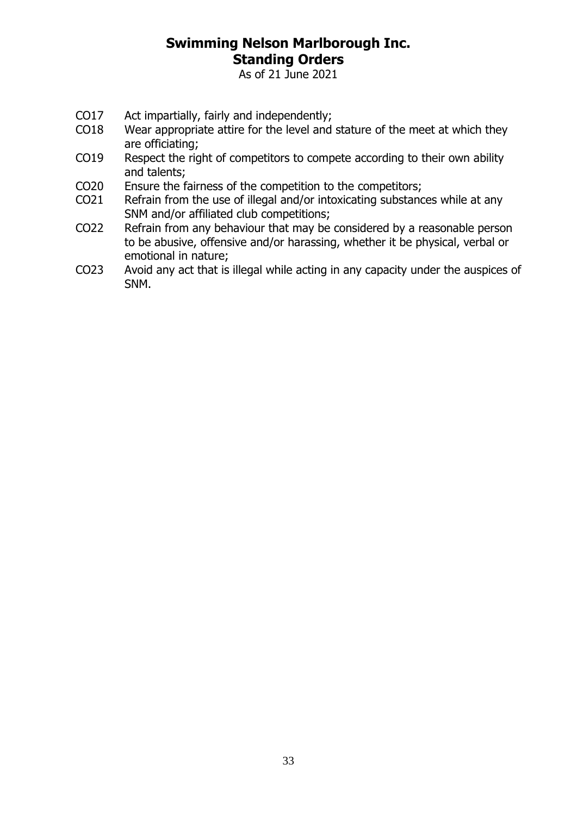As of 21 June 2021

- CO17 Act impartially, fairly and independently;
- CO18 Wear appropriate attire for the level and stature of the meet at which they are officiating;
- CO19 Respect the right of competitors to compete according to their own ability and talents;
- CO20 Ensure the fairness of the competition to the competitors;
- CO21 Refrain from the use of illegal and/or intoxicating substances while at any SNM and/or affiliated club competitions;
- CO22 Refrain from any behaviour that may be considered by a reasonable person to be abusive, offensive and/or harassing, whether it be physical, verbal or emotional in nature;
- CO23 Avoid any act that is illegal while acting in any capacity under the auspices of SNM.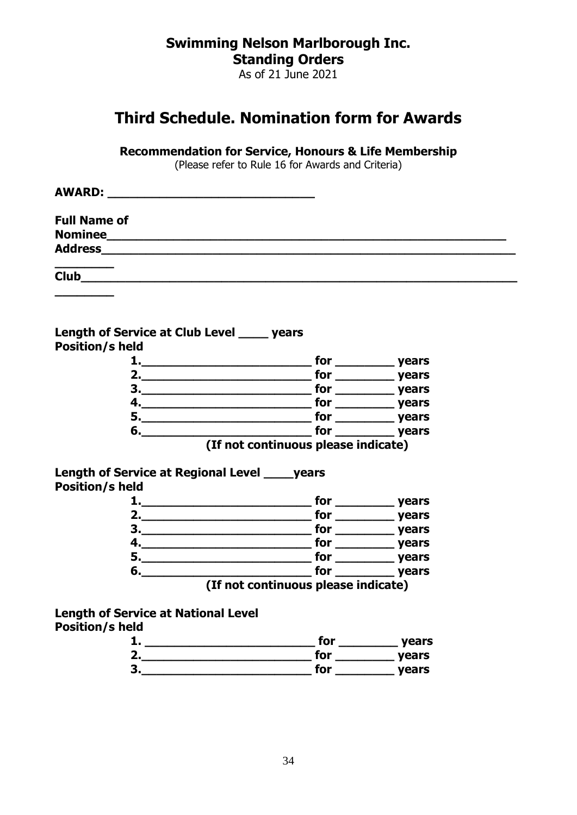As of 21 June 2021

## <span id="page-33-0"></span>**Third Schedule. Nomination form for Awards**

**Recommendation for Service, Honours & Life Membership**

(Please refer to Rule [16](#page-10-2) for Awards and Criteria)

| <b>AWARD:</b><br><u> 1980 - Andrea Stadt Britain, marwolaeth a bhliain 1980 a bhliain 1980 a bhliain 1980 a bhliain 1980 a bhliain</u> |  |  |
|----------------------------------------------------------------------------------------------------------------------------------------|--|--|
| <b>Full Name of</b>                                                                                                                    |  |  |
| <b>Nominee</b>                                                                                                                         |  |  |
| <b>Address</b>                                                                                                                         |  |  |
| <b>Club</b>                                                                                                                            |  |  |

#### **Length of Service at Club Level \_\_\_\_ years Position/s held**

|    | for                                 | years        |
|----|-------------------------------------|--------------|
| 2. | for                                 | years        |
| З. | for                                 | years        |
|    | for                                 | years        |
| 5. | for                                 | years        |
| 6. | for                                 | <b>vears</b> |
|    | (If not continuous please indicate) |              |

**Length of Service at Regional Level \_\_\_\_years Position/s held**

|              | for                                 | years        |
|--------------|-------------------------------------|--------------|
|              | for                                 | years        |
| $\mathbf{3}$ | for                                 | years        |
|              | for                                 | years        |
| 5.           | for                                 | years        |
| 6.           | for                                 | <b>vears</b> |
|              | (If not continuous please indicate) |              |

**Length of Service at National Level**

**\_\_\_\_\_\_\_\_**

| for | years |
|-----|-------|
| for | years |
| for | years |
|     |       |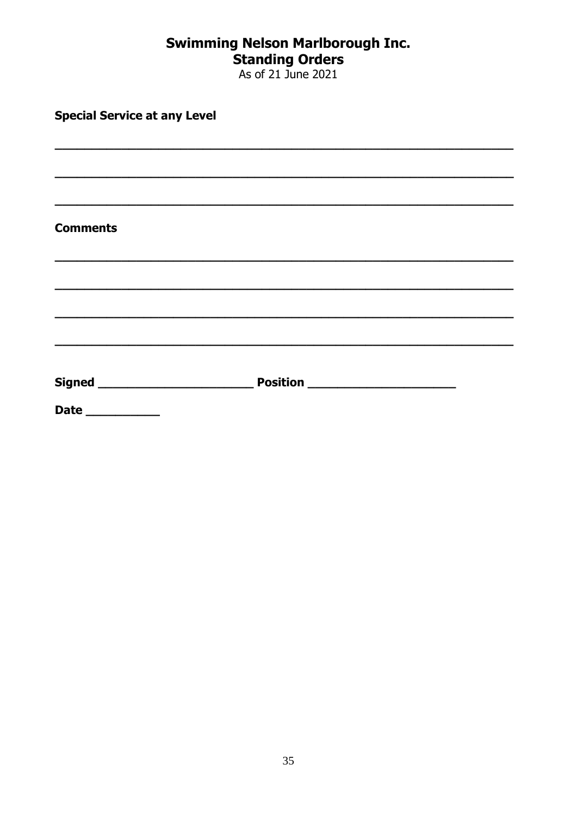# **Swimming Nelson Marlborough Inc.<br>Standing Orders<br>As of 21 June 2021**

| <b>Special Service at any Level</b> |  |  |  |  |
|-------------------------------------|--|--|--|--|
|                                     |  |  |  |  |
|                                     |  |  |  |  |
|                                     |  |  |  |  |
| <b>Comments</b>                     |  |  |  |  |
|                                     |  |  |  |  |
|                                     |  |  |  |  |
|                                     |  |  |  |  |
| Signed __________________________   |  |  |  |  |
| <b>Date</b>                         |  |  |  |  |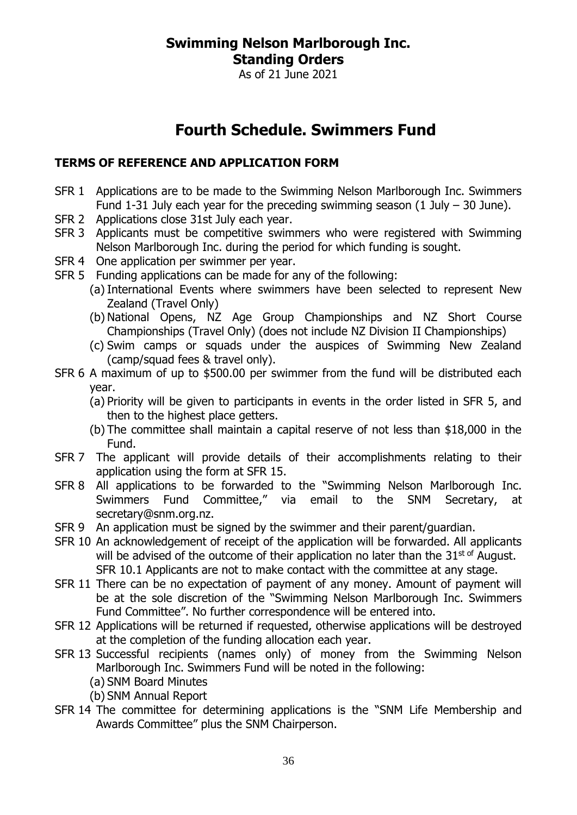As of 21 June 2021

# **Fourth Schedule. Swimmers Fund**

#### <span id="page-35-0"></span>**TERMS OF REFERENCE AND APPLICATION FORM**

- SFR 1 Applications are to be made to the Swimming Nelson Marlborough Inc. Swimmers Fund 1-31 July each year for the preceding swimming season  $(1 \text{ July} - 30 \text{ June})$ .
- SFR 2 Applications close 31st July each year.
- SFR 3 Applicants must be competitive swimmers who were registered with Swimming Nelson Marlborough Inc. during the period for which funding is sought.
- SFR 4 One application per swimmer per year.
- SFR 5 Funding applications can be made for any of the following:
	- (a) International Events where swimmers have been selected to represent New Zealand (Travel Only)
	- (b) National Opens, NZ Age Group Championships and NZ Short Course Championships (Travel Only) (does not include NZ Division II Championships)
	- (c) Swim camps or squads under the auspices of Swimming New Zealand (camp/squad fees & travel only).
- SFR 6 A maximum of up to \$500.00 per swimmer from the fund will be distributed each year.
	- (a) Priority will be given to participants in events in the order listed in SFR 5, and then to the highest place getters.
	- (b) The committee shall maintain a capital reserve of not less than \$18,000 in the Fund.
- SFR 7 The applicant will provide details of their accomplishments relating to their application using the form at SFR 15.
- SFR 8 All applications to be forwarded to the "Swimming Nelson Marlborough Inc. Swimmers Fund Committee," via email to the SNM Secretary, at secretary@snm.org.nz.
- SFR 9 An application must be signed by the swimmer and their parent/guardian.
- SFR 10 An acknowledgement of receipt of the application will be forwarded. All applicants will be advised of the outcome of their application no later than the  $31^{st}$  of August. SFR 10.1 Applicants are not to make contact with the committee at any stage.
- SFR 11 There can be no expectation of payment of any money. Amount of payment will be at the sole discretion of the "Swimming Nelson Marlborough Inc. Swimmers Fund Committee". No further correspondence will be entered into.
- SFR 12 Applications will be returned if requested, otherwise applications will be destroyed at the completion of the funding allocation each year.
- SFR 13 Successful recipients (names only) of money from the Swimming Nelson Marlborough Inc. Swimmers Fund will be noted in the following:
	- (a) SNM Board Minutes
	- (b) SNM Annual Report
- SFR 14 The committee for determining applications is the "SNM Life Membership and Awards Committee" plus the SNM Chairperson.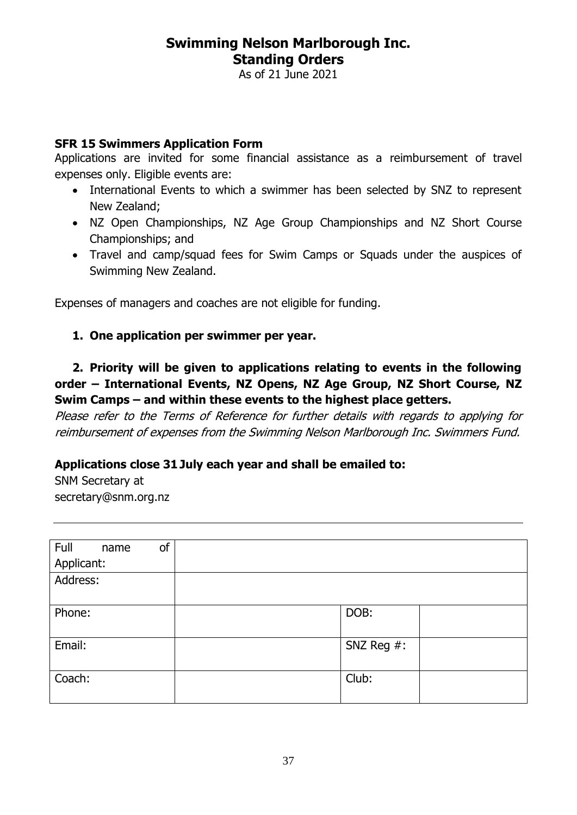As of 21 June 2021

#### **SFR 15 Swimmers Application Form**

Applications are invited for some financial assistance as a reimbursement of travel expenses only. Eligible events are:

- International Events to which a swimmer has been selected by SNZ to represent New Zealand;
- NZ Open Championships, NZ Age Group Championships and NZ Short Course Championships; and
- Travel and camp/squad fees for Swim Camps or Squads under the auspices of Swimming New Zealand.

Expenses of managers and coaches are not eligible for funding.

#### **1. One application per swimmer per year.**

#### **2. Priority will be given to applications relating to events in the following order – International Events, NZ Opens, NZ Age Group, NZ Short Course, NZ Swim Camps – and within these events to the highest place getters.**

Please refer to the Terms of Reference for further details with regards to applying for reimbursement of expenses from the Swimming Nelson Marlborough Inc. Swimmers Fund.

#### **Applications close 31July each year and shall be emailed to:**

SNM Secretary at secretary@snm.org.nz

| Full<br>of<br>name |               |  |
|--------------------|---------------|--|
| Applicant:         |               |  |
| Address:           |               |  |
|                    |               |  |
| Phone:             | DOB:          |  |
|                    |               |  |
| Email:             | SNZ Reg $#$ : |  |
|                    |               |  |
| Coach:             | Club:         |  |
|                    |               |  |